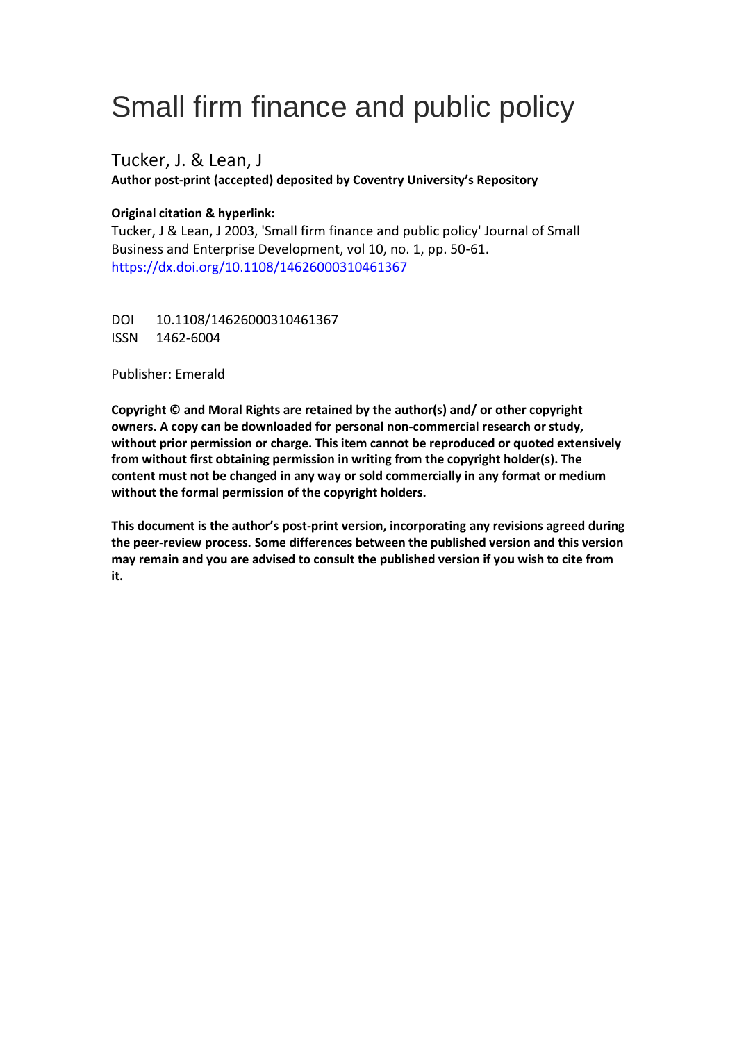# Small firm finance and public policy

# Tucker, J. & Lean, J **Author post-print (accepted) deposited by Coventry University's Repository**

# **Original citation & hyperlink:**

Tucker, J & Lean, J 2003, 'Small firm finance and public policy' Journal of Small Business and Enterprise Development, vol 10, no. 1, pp. 50-61. <https://dx.doi.org/10.1108/14626000310461367>

DOI 10.1108/14626000310461367 ISSN 1462-6004

Publisher: Emerald

**Copyright © and Moral Rights are retained by the author(s) and/ or other copyright owners. A copy can be downloaded for personal non-commercial research or study, without prior permission or charge. This item cannot be reproduced or quoted extensively from without first obtaining permission in writing from the copyright holder(s). The content must not be changed in any way or sold commercially in any format or medium without the formal permission of the copyright holders.** 

**This document is the author's post-print version, incorporating any revisions agreed during the peer-review process. Some differences between the published version and this version may remain and you are advised to consult the published version if you wish to cite from it.**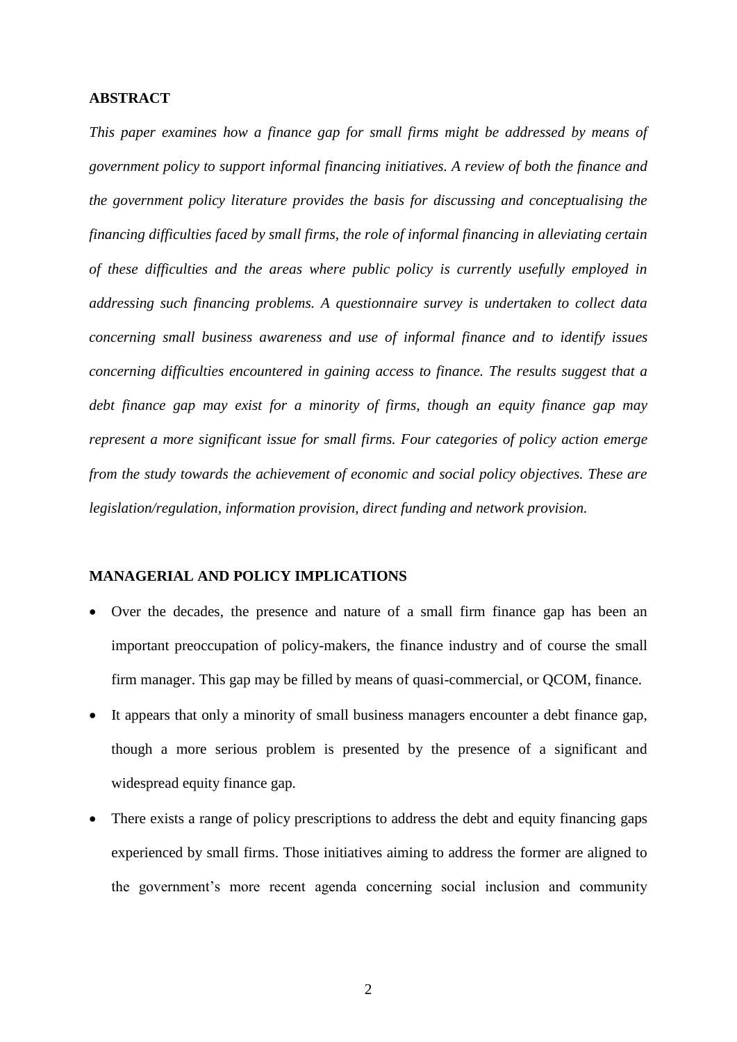#### **ABSTRACT**

*This paper examines how a finance gap for small firms might be addressed by means of government policy to support informal financing initiatives. A review of both the finance and the government policy literature provides the basis for discussing and conceptualising the financing difficulties faced by small firms, the role of informal financing in alleviating certain of these difficulties and the areas where public policy is currently usefully employed in addressing such financing problems. A questionnaire survey is undertaken to collect data concerning small business awareness and use of informal finance and to identify issues concerning difficulties encountered in gaining access to finance. The results suggest that a debt finance gap may exist for a minority of firms, though an equity finance gap may represent a more significant issue for small firms. Four categories of policy action emerge from the study towards the achievement of economic and social policy objectives. These are legislation/regulation, information provision, direct funding and network provision.*

# **MANAGERIAL AND POLICY IMPLICATIONS**

- Over the decades, the presence and nature of a small firm finance gap has been an important preoccupation of policy-makers, the finance industry and of course the small firm manager. This gap may be filled by means of quasi-commercial, or QCOM, finance.
- It appears that only a minority of small business managers encounter a debt finance gap, though a more serious problem is presented by the presence of a significant and widespread equity finance gap.
- There exists a range of policy prescriptions to address the debt and equity financing gaps experienced by small firms. Those initiatives aiming to address the former are aligned to the government's more recent agenda concerning social inclusion and community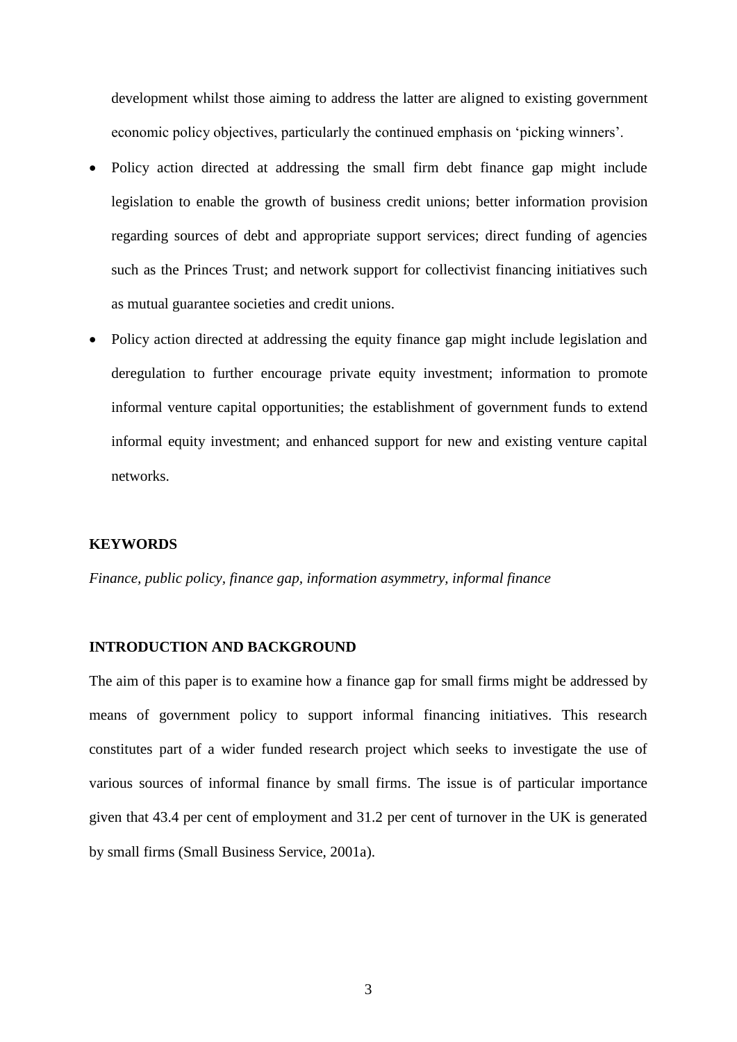development whilst those aiming to address the latter are aligned to existing government economic policy objectives, particularly the continued emphasis on 'picking winners'.

- Policy action directed at addressing the small firm debt finance gap might include legislation to enable the growth of business credit unions; better information provision regarding sources of debt and appropriate support services; direct funding of agencies such as the Princes Trust; and network support for collectivist financing initiatives such as mutual guarantee societies and credit unions.
- Policy action directed at addressing the equity finance gap might include legislation and deregulation to further encourage private equity investment; information to promote informal venture capital opportunities; the establishment of government funds to extend informal equity investment; and enhanced support for new and existing venture capital networks.

#### **KEYWORDS**

*Finance, public policy, finance gap, information asymmetry, informal finance*

# **INTRODUCTION AND BACKGROUND**

The aim of this paper is to examine how a finance gap for small firms might be addressed by means of government policy to support informal financing initiatives. This research constitutes part of a wider funded research project which seeks to investigate the use of various sources of informal finance by small firms. The issue is of particular importance given that 43.4 per cent of employment and 31.2 per cent of turnover in the UK is generated by small firms (Small Business Service, 2001a).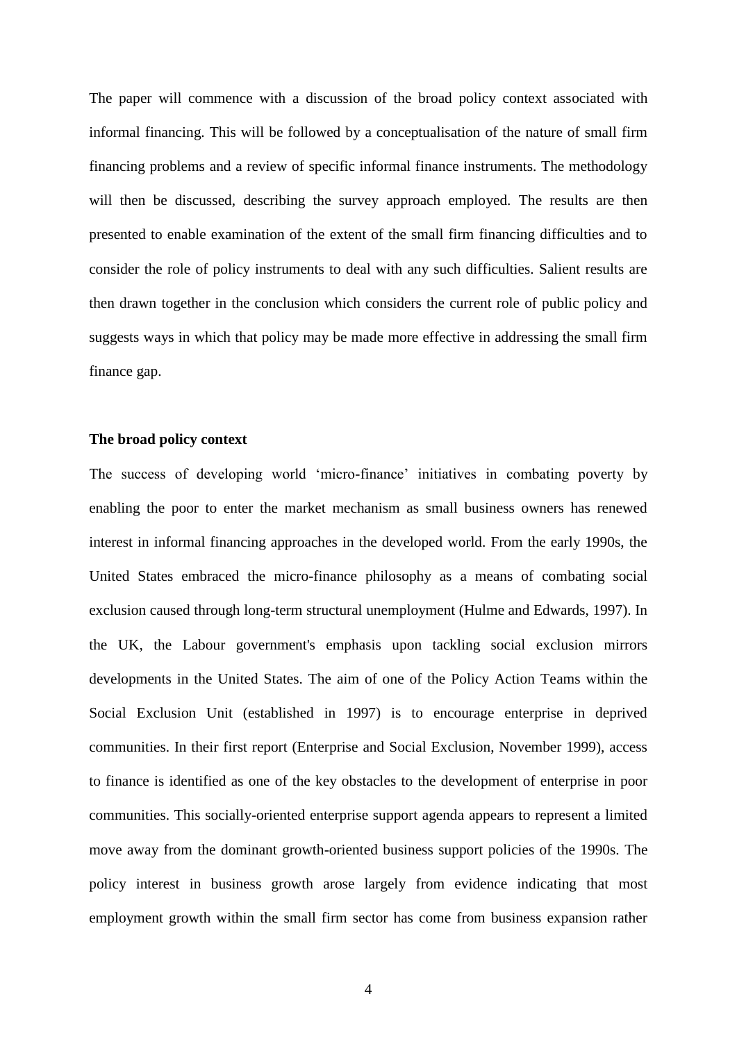The paper will commence with a discussion of the broad policy context associated with informal financing. This will be followed by a conceptualisation of the nature of small firm financing problems and a review of specific informal finance instruments. The methodology will then be discussed, describing the survey approach employed. The results are then presented to enable examination of the extent of the small firm financing difficulties and to consider the role of policy instruments to deal with any such difficulties. Salient results are then drawn together in the conclusion which considers the current role of public policy and suggests ways in which that policy may be made more effective in addressing the small firm finance gap.

# **The broad policy context**

The success of developing world 'micro-finance' initiatives in combating poverty by enabling the poor to enter the market mechanism as small business owners has renewed interest in informal financing approaches in the developed world. From the early 1990s, the United States embraced the micro-finance philosophy as a means of combating social exclusion caused through long-term structural unemployment (Hulme and Edwards, 1997). In the UK, the Labour government's emphasis upon tackling social exclusion mirrors developments in the United States. The aim of one of the Policy Action Teams within the Social Exclusion Unit (established in 1997) is to encourage enterprise in deprived communities. In their first report (Enterprise and Social Exclusion, November 1999), access to finance is identified as one of the key obstacles to the development of enterprise in poor communities. This socially-oriented enterprise support agenda appears to represent a limited move away from the dominant growth-oriented business support policies of the 1990s. The policy interest in business growth arose largely from evidence indicating that most employment growth within the small firm sector has come from business expansion rather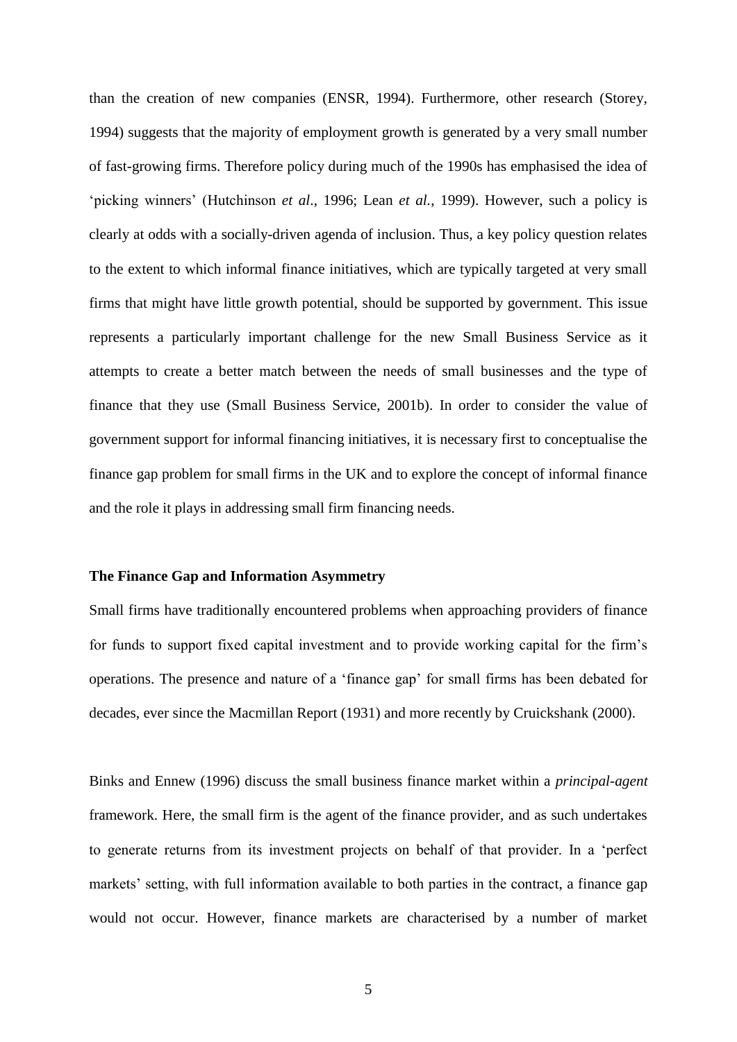than the creation of new companies (ENSR, 1994). Furthermore, other research (Storey, 1994) suggests that the majority of employment growth is generated by a very small number of fast-growing firms. Therefore policy during much of the 1990s has emphasised the idea of 'picking winners' (Hutchinson *et al*., 1996; Lean *et al.*, 1999). However, such a policy is clearly at odds with a socially-driven agenda of inclusion. Thus, a key policy question relates to the extent to which informal finance initiatives, which are typically targeted at very small firms that might have little growth potential, should be supported by government. This issue represents a particularly important challenge for the new Small Business Service as it attempts to create a better match between the needs of small businesses and the type of finance that they use (Small Business Service, 2001b). In order to consider the value of government support for informal financing initiatives, it is necessary first to conceptualise the finance gap problem for small firms in the UK and to explore the concept of informal finance and the role it plays in addressing small firm financing needs.

#### **The Finance Gap and Information Asymmetry**

Small firms have traditionally encountered problems when approaching providers of finance for funds to support fixed capital investment and to provide working capital for the firm's operations. The presence and nature of a 'finance gap' for small firms has been debated for decades, ever since the Macmillan Report (1931) and more recently by Cruickshank (2000).

Binks and Ennew (1996) discuss the small business finance market within a *principal-agent* framework. Here, the small firm is the agent of the finance provider, and as such undertakes to generate returns from its investment projects on behalf of that provider. In a 'perfect markets' setting, with full information available to both parties in the contract, a finance gap would not occur. However, finance markets are characterised by a number of market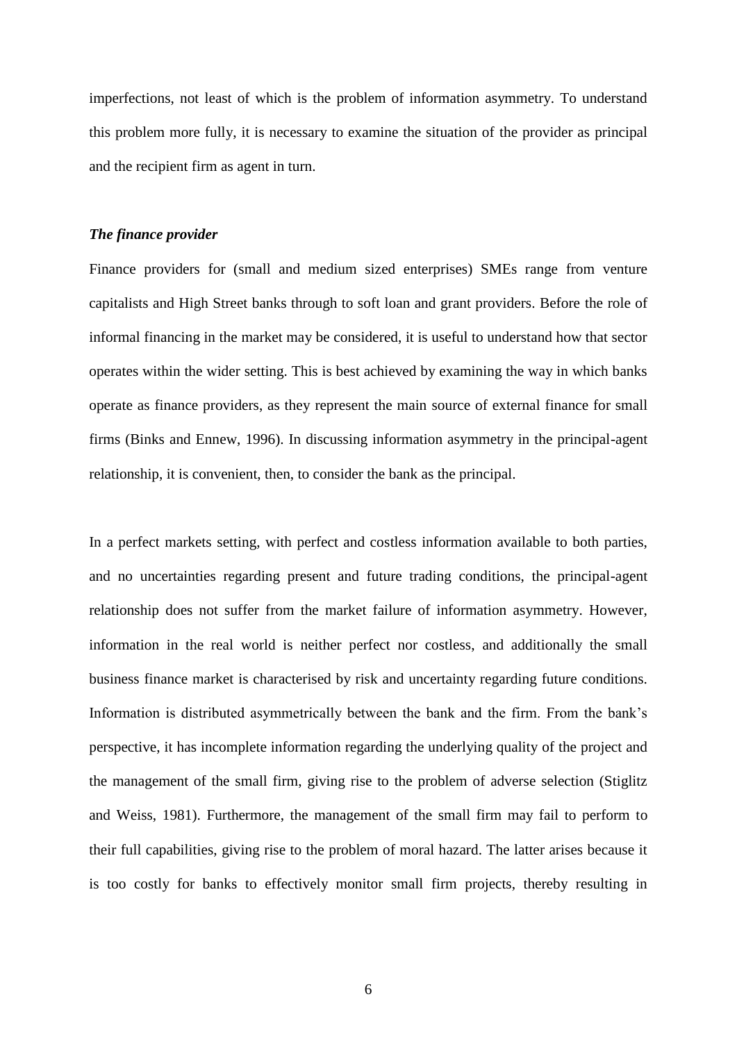imperfections, not least of which is the problem of information asymmetry. To understand this problem more fully, it is necessary to examine the situation of the provider as principal and the recipient firm as agent in turn.

#### *The finance provider*

Finance providers for (small and medium sized enterprises) SMEs range from venture capitalists and High Street banks through to soft loan and grant providers. Before the role of informal financing in the market may be considered, it is useful to understand how that sector operates within the wider setting. This is best achieved by examining the way in which banks operate as finance providers, as they represent the main source of external finance for small firms (Binks and Ennew, 1996). In discussing information asymmetry in the principal-agent relationship, it is convenient, then, to consider the bank as the principal.

In a perfect markets setting, with perfect and costless information available to both parties, and no uncertainties regarding present and future trading conditions, the principal-agent relationship does not suffer from the market failure of information asymmetry. However, information in the real world is neither perfect nor costless, and additionally the small business finance market is characterised by risk and uncertainty regarding future conditions. Information is distributed asymmetrically between the bank and the firm. From the bank's perspective, it has incomplete information regarding the underlying quality of the project and the management of the small firm, giving rise to the problem of adverse selection (Stiglitz and Weiss, 1981). Furthermore, the management of the small firm may fail to perform to their full capabilities, giving rise to the problem of moral hazard. The latter arises because it is too costly for banks to effectively monitor small firm projects, thereby resulting in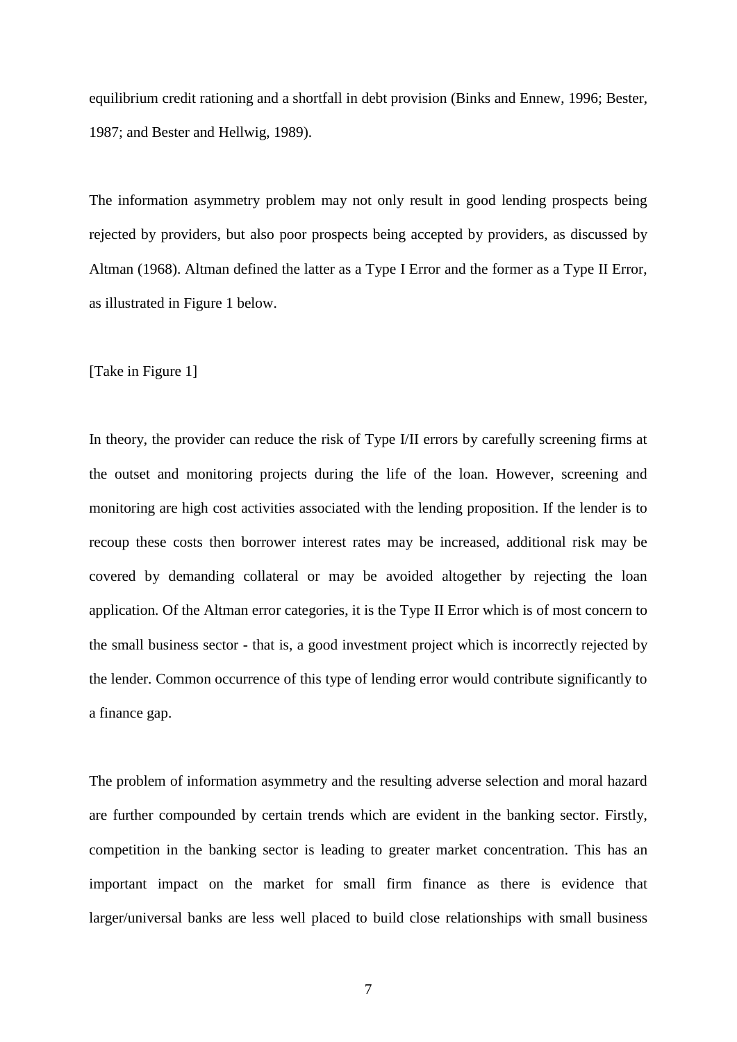equilibrium credit rationing and a shortfall in debt provision (Binks and Ennew, 1996; Bester, 1987; and Bester and Hellwig, 1989).

The information asymmetry problem may not only result in good lending prospects being rejected by providers, but also poor prospects being accepted by providers, as discussed by Altman (1968). Altman defined the latter as a Type I Error and the former as a Type II Error, as illustrated in Figure 1 below.

# [Take in Figure 1]

In theory, the provider can reduce the risk of Type I/II errors by carefully screening firms at the outset and monitoring projects during the life of the loan. However, screening and monitoring are high cost activities associated with the lending proposition. If the lender is to recoup these costs then borrower interest rates may be increased, additional risk may be covered by demanding collateral or may be avoided altogether by rejecting the loan application. Of the Altman error categories, it is the Type II Error which is of most concern to the small business sector - that is, a good investment project which is incorrectly rejected by the lender. Common occurrence of this type of lending error would contribute significantly to a finance gap.

The problem of information asymmetry and the resulting adverse selection and moral hazard are further compounded by certain trends which are evident in the banking sector. Firstly, competition in the banking sector is leading to greater market concentration. This has an important impact on the market for small firm finance as there is evidence that larger/universal banks are less well placed to build close relationships with small business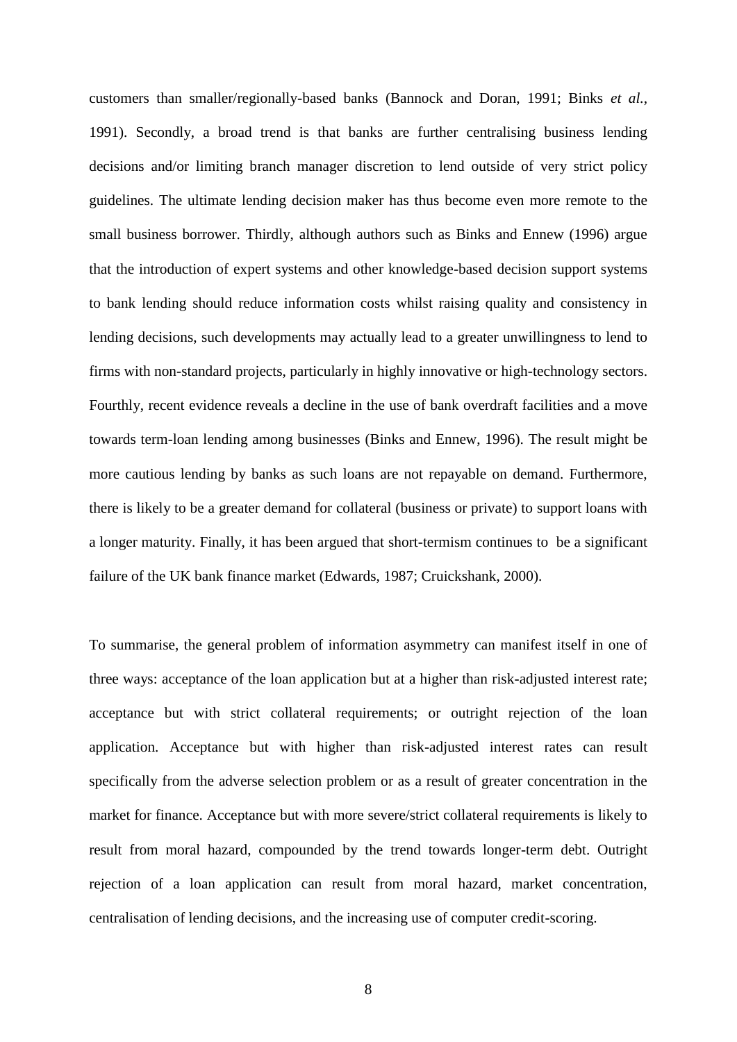customers than smaller/regionally-based banks (Bannock and Doran, 1991; Binks *et al.*, 1991). Secondly, a broad trend is that banks are further centralising business lending decisions and/or limiting branch manager discretion to lend outside of very strict policy guidelines. The ultimate lending decision maker has thus become even more remote to the small business borrower. Thirdly, although authors such as Binks and Ennew (1996) argue that the introduction of expert systems and other knowledge-based decision support systems to bank lending should reduce information costs whilst raising quality and consistency in lending decisions, such developments may actually lead to a greater unwillingness to lend to firms with non-standard projects, particularly in highly innovative or high-technology sectors. Fourthly, recent evidence reveals a decline in the use of bank overdraft facilities and a move towards term-loan lending among businesses (Binks and Ennew, 1996). The result might be more cautious lending by banks as such loans are not repayable on demand. Furthermore, there is likely to be a greater demand for collateral (business or private) to support loans with a longer maturity. Finally, it has been argued that short-termism continues to be a significant failure of the UK bank finance market (Edwards, 1987; Cruickshank, 2000).

To summarise, the general problem of information asymmetry can manifest itself in one of three ways: acceptance of the loan application but at a higher than risk-adjusted interest rate; acceptance but with strict collateral requirements; or outright rejection of the loan application. Acceptance but with higher than risk-adjusted interest rates can result specifically from the adverse selection problem or as a result of greater concentration in the market for finance. Acceptance but with more severe/strict collateral requirements is likely to result from moral hazard, compounded by the trend towards longer-term debt. Outright rejection of a loan application can result from moral hazard, market concentration, centralisation of lending decisions, and the increasing use of computer credit-scoring.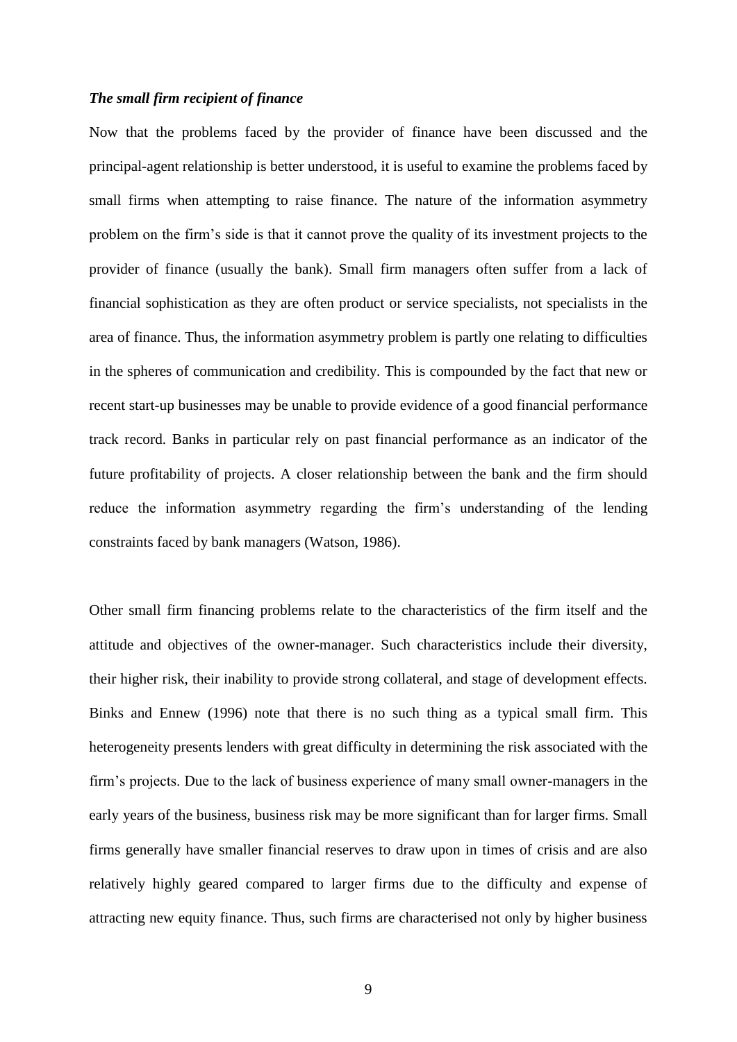# *The small firm recipient of finance*

Now that the problems faced by the provider of finance have been discussed and the principal-agent relationship is better understood, it is useful to examine the problems faced by small firms when attempting to raise finance. The nature of the information asymmetry problem on the firm's side is that it cannot prove the quality of its investment projects to the provider of finance (usually the bank). Small firm managers often suffer from a lack of financial sophistication as they are often product or service specialists, not specialists in the area of finance. Thus, the information asymmetry problem is partly one relating to difficulties in the spheres of communication and credibility. This is compounded by the fact that new or recent start-up businesses may be unable to provide evidence of a good financial performance track record. Banks in particular rely on past financial performance as an indicator of the future profitability of projects. A closer relationship between the bank and the firm should reduce the information asymmetry regarding the firm's understanding of the lending constraints faced by bank managers (Watson, 1986).

Other small firm financing problems relate to the characteristics of the firm itself and the attitude and objectives of the owner-manager. Such characteristics include their diversity, their higher risk, their inability to provide strong collateral, and stage of development effects. Binks and Ennew (1996) note that there is no such thing as a typical small firm. This heterogeneity presents lenders with great difficulty in determining the risk associated with the firm's projects. Due to the lack of business experience of many small owner-managers in the early years of the business, business risk may be more significant than for larger firms. Small firms generally have smaller financial reserves to draw upon in times of crisis and are also relatively highly geared compared to larger firms due to the difficulty and expense of attracting new equity finance. Thus, such firms are characterised not only by higher business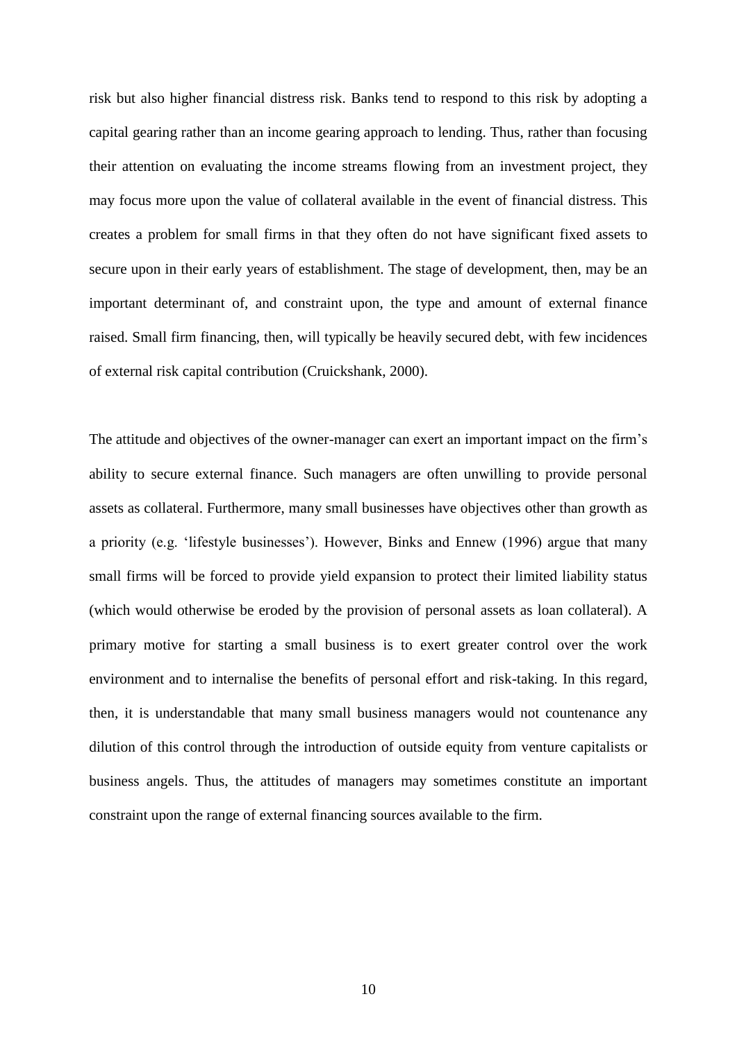risk but also higher financial distress risk. Banks tend to respond to this risk by adopting a capital gearing rather than an income gearing approach to lending. Thus, rather than focusing their attention on evaluating the income streams flowing from an investment project, they may focus more upon the value of collateral available in the event of financial distress. This creates a problem for small firms in that they often do not have significant fixed assets to secure upon in their early years of establishment. The stage of development, then, may be an important determinant of, and constraint upon, the type and amount of external finance raised. Small firm financing, then, will typically be heavily secured debt, with few incidences of external risk capital contribution (Cruickshank, 2000).

The attitude and objectives of the owner-manager can exert an important impact on the firm's ability to secure external finance. Such managers are often unwilling to provide personal assets as collateral. Furthermore, many small businesses have objectives other than growth as a priority (e.g. 'lifestyle businesses'). However, Binks and Ennew (1996) argue that many small firms will be forced to provide yield expansion to protect their limited liability status (which would otherwise be eroded by the provision of personal assets as loan collateral). A primary motive for starting a small business is to exert greater control over the work environment and to internalise the benefits of personal effort and risk-taking. In this regard, then, it is understandable that many small business managers would not countenance any dilution of this control through the introduction of outside equity from venture capitalists or business angels. Thus, the attitudes of managers may sometimes constitute an important constraint upon the range of external financing sources available to the firm.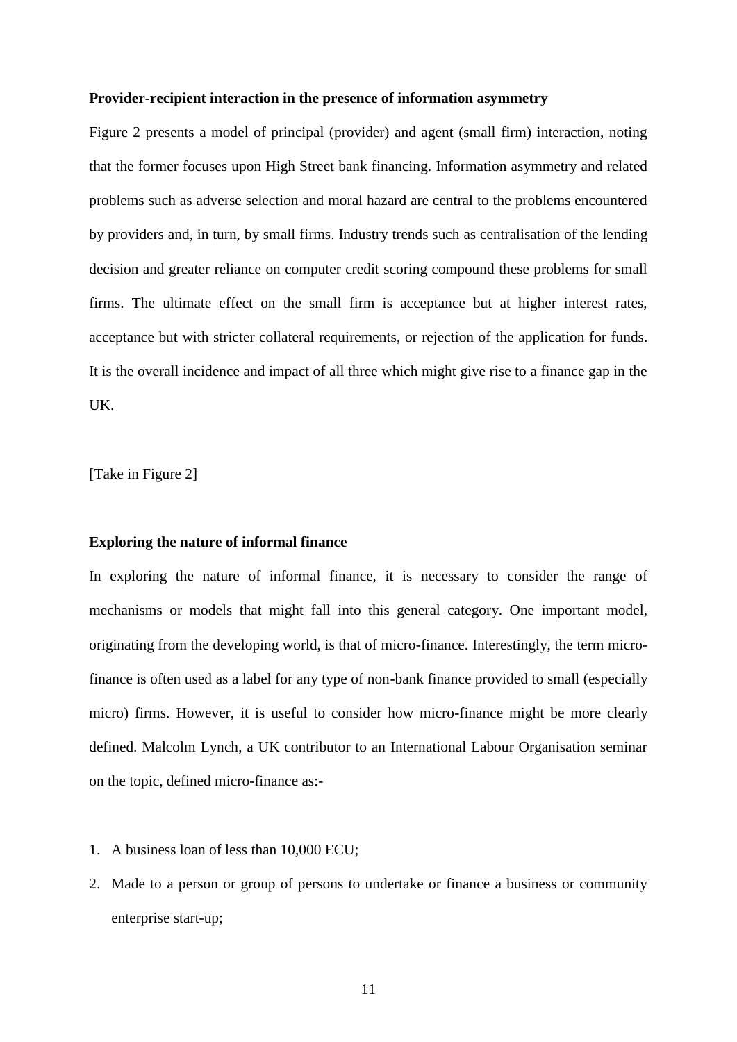#### **Provider-recipient interaction in the presence of information asymmetry**

Figure 2 presents a model of principal (provider) and agent (small firm) interaction, noting that the former focuses upon High Street bank financing. Information asymmetry and related problems such as adverse selection and moral hazard are central to the problems encountered by providers and, in turn, by small firms. Industry trends such as centralisation of the lending decision and greater reliance on computer credit scoring compound these problems for small firms. The ultimate effect on the small firm is acceptance but at higher interest rates, acceptance but with stricter collateral requirements, or rejection of the application for funds. It is the overall incidence and impact of all three which might give rise to a finance gap in the UK.

[Take in Figure 2]

# **Exploring the nature of informal finance**

In exploring the nature of informal finance, it is necessary to consider the range of mechanisms or models that might fall into this general category. One important model, originating from the developing world, is that of micro-finance. Interestingly, the term microfinance is often used as a label for any type of non-bank finance provided to small (especially micro) firms. However, it is useful to consider how micro-finance might be more clearly defined. Malcolm Lynch, a UK contributor to an International Labour Organisation seminar on the topic, defined micro-finance as:-

- 1. A business loan of less than 10,000 ECU;
- 2. Made to a person or group of persons to undertake or finance a business or community enterprise start-up;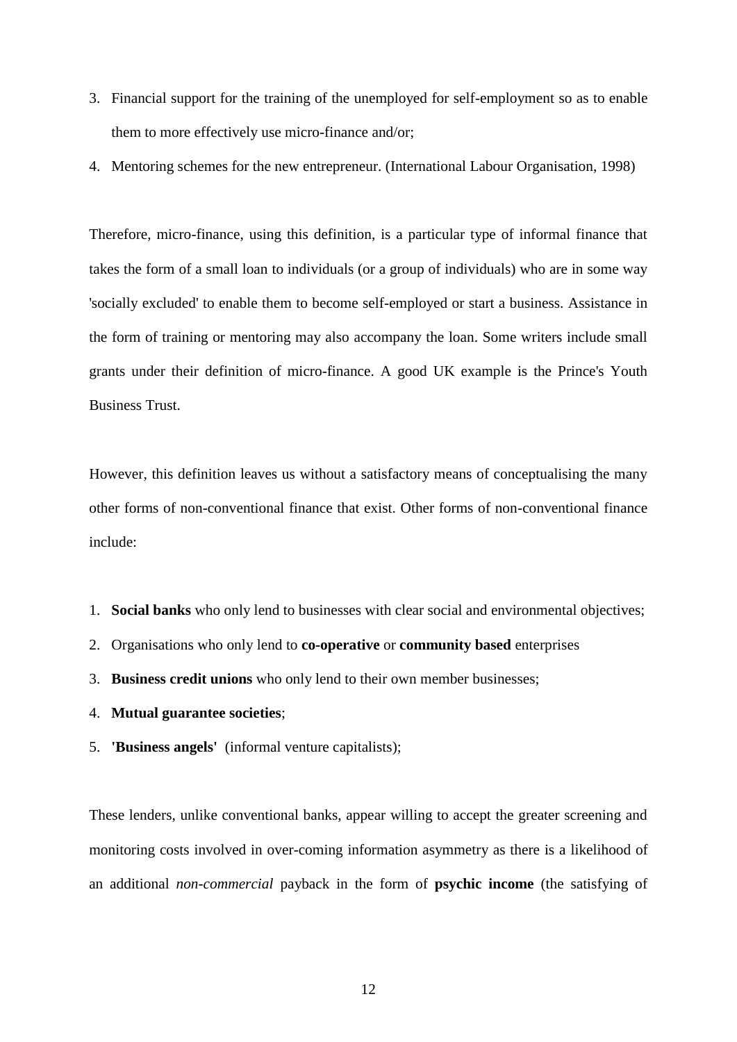- 3. Financial support for the training of the unemployed for self-employment so as to enable them to more effectively use micro-finance and/or;
- 4. Mentoring schemes for the new entrepreneur. (International Labour Organisation, 1998)

Therefore, micro-finance, using this definition, is a particular type of informal finance that takes the form of a small loan to individuals (or a group of individuals) who are in some way 'socially excluded' to enable them to become self-employed or start a business. Assistance in the form of training or mentoring may also accompany the loan. Some writers include small grants under their definition of micro-finance. A good UK example is the Prince's Youth Business Trust.

However, this definition leaves us without a satisfactory means of conceptualising the many other forms of non-conventional finance that exist. Other forms of non-conventional finance include:

- 1. **Social banks** who only lend to businesses with clear social and environmental objectives;
- 2. Organisations who only lend to **co-operative** or **community based** enterprises
- 3. **Business credit unions** who only lend to their own member businesses;
- 4. **Mutual guarantee societies**;
- 5. **'Business angels'** (informal venture capitalists);

These lenders, unlike conventional banks, appear willing to accept the greater screening and monitoring costs involved in over-coming information asymmetry as there is a likelihood of an additional *non-commercial* payback in the form of **psychic income** (the satisfying of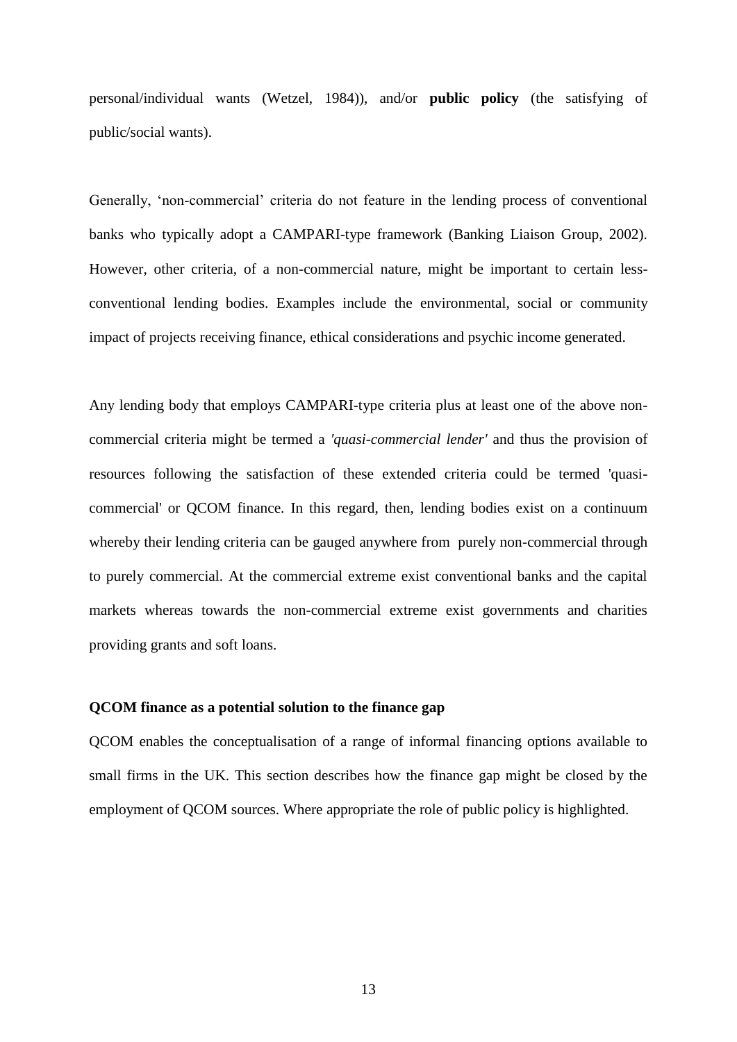personal/individual wants (Wetzel, 1984)), and/or **public policy** (the satisfying of public/social wants).

Generally, 'non-commercial' criteria do not feature in the lending process of conventional banks who typically adopt a CAMPARI-type framework (Banking Liaison Group, 2002). However, other criteria, of a non-commercial nature, might be important to certain lessconventional lending bodies. Examples include the environmental, social or community impact of projects receiving finance, ethical considerations and psychic income generated.

Any lending body that employs CAMPARI-type criteria plus at least one of the above noncommercial criteria might be termed a *'quasi-commercial lender'* and thus the provision of resources following the satisfaction of these extended criteria could be termed 'quasicommercial' or QCOM finance. In this regard, then, lending bodies exist on a continuum whereby their lending criteria can be gauged anywhere from purely non-commercial through to purely commercial. At the commercial extreme exist conventional banks and the capital markets whereas towards the non-commercial extreme exist governments and charities providing grants and soft loans.

# **QCOM finance as a potential solution to the finance gap**

QCOM enables the conceptualisation of a range of informal financing options available to small firms in the UK. This section describes how the finance gap might be closed by the employment of QCOM sources. Where appropriate the role of public policy is highlighted.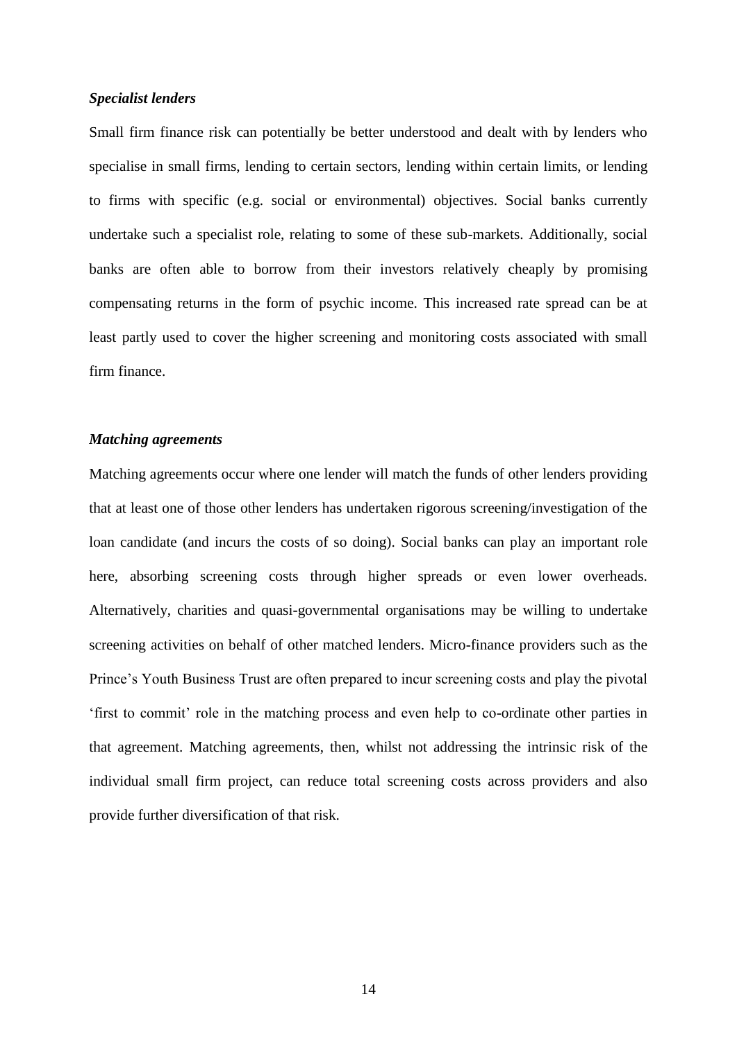# *Specialist lenders*

Small firm finance risk can potentially be better understood and dealt with by lenders who specialise in small firms, lending to certain sectors, lending within certain limits, or lending to firms with specific (e.g. social or environmental) objectives. Social banks currently undertake such a specialist role, relating to some of these sub-markets. Additionally, social banks are often able to borrow from their investors relatively cheaply by promising compensating returns in the form of psychic income. This increased rate spread can be at least partly used to cover the higher screening and monitoring costs associated with small firm finance.

# *Matching agreements*

Matching agreements occur where one lender will match the funds of other lenders providing that at least one of those other lenders has undertaken rigorous screening/investigation of the loan candidate (and incurs the costs of so doing). Social banks can play an important role here, absorbing screening costs through higher spreads or even lower overheads. Alternatively, charities and quasi-governmental organisations may be willing to undertake screening activities on behalf of other matched lenders. Micro-finance providers such as the Prince's Youth Business Trust are often prepared to incur screening costs and play the pivotal 'first to commit' role in the matching process and even help to co-ordinate other parties in that agreement. Matching agreements, then, whilst not addressing the intrinsic risk of the individual small firm project, can reduce total screening costs across providers and also provide further diversification of that risk.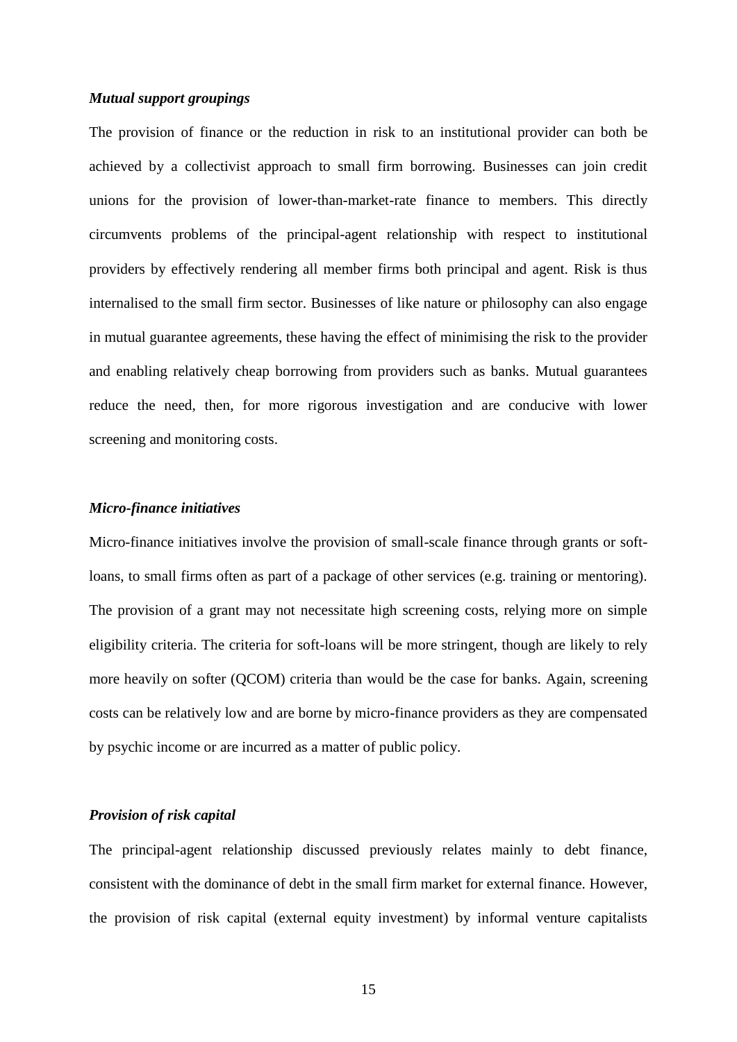# *Mutual support groupings*

The provision of finance or the reduction in risk to an institutional provider can both be achieved by a collectivist approach to small firm borrowing. Businesses can join credit unions for the provision of lower-than-market-rate finance to members. This directly circumvents problems of the principal-agent relationship with respect to institutional providers by effectively rendering all member firms both principal and agent. Risk is thus internalised to the small firm sector. Businesses of like nature or philosophy can also engage in mutual guarantee agreements, these having the effect of minimising the risk to the provider and enabling relatively cheap borrowing from providers such as banks. Mutual guarantees reduce the need, then, for more rigorous investigation and are conducive with lower screening and monitoring costs.

# *Micro-finance initiatives*

Micro-finance initiatives involve the provision of small-scale finance through grants or softloans, to small firms often as part of a package of other services (e.g. training or mentoring). The provision of a grant may not necessitate high screening costs, relying more on simple eligibility criteria. The criteria for soft-loans will be more stringent, though are likely to rely more heavily on softer (QCOM) criteria than would be the case for banks. Again, screening costs can be relatively low and are borne by micro-finance providers as they are compensated by psychic income or are incurred as a matter of public policy.

# *Provision of risk capital*

The principal-agent relationship discussed previously relates mainly to debt finance, consistent with the dominance of debt in the small firm market for external finance. However, the provision of risk capital (external equity investment) by informal venture capitalists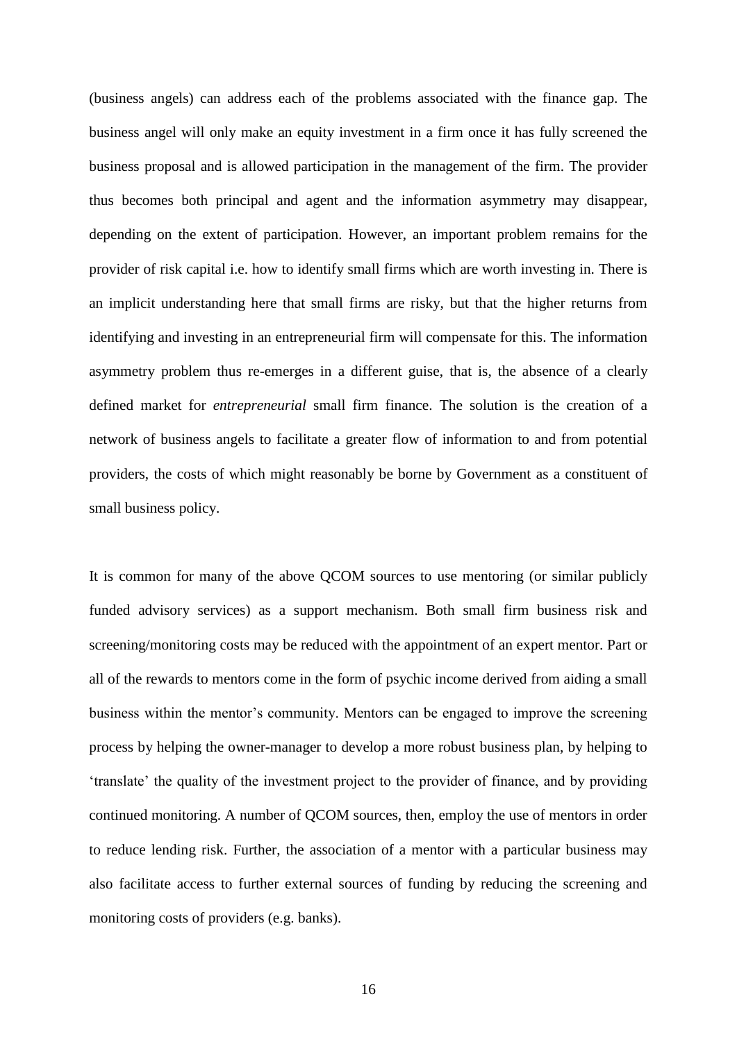(business angels) can address each of the problems associated with the finance gap. The business angel will only make an equity investment in a firm once it has fully screened the business proposal and is allowed participation in the management of the firm. The provider thus becomes both principal and agent and the information asymmetry may disappear, depending on the extent of participation. However, an important problem remains for the provider of risk capital i.e. how to identify small firms which are worth investing in. There is an implicit understanding here that small firms are risky, but that the higher returns from identifying and investing in an entrepreneurial firm will compensate for this. The information asymmetry problem thus re-emerges in a different guise, that is, the absence of a clearly defined market for *entrepreneurial* small firm finance. The solution is the creation of a network of business angels to facilitate a greater flow of information to and from potential providers, the costs of which might reasonably be borne by Government as a constituent of small business policy.

It is common for many of the above QCOM sources to use mentoring (or similar publicly funded advisory services) as a support mechanism. Both small firm business risk and screening/monitoring costs may be reduced with the appointment of an expert mentor. Part or all of the rewards to mentors come in the form of psychic income derived from aiding a small business within the mentor's community. Mentors can be engaged to improve the screening process by helping the owner-manager to develop a more robust business plan, by helping to 'translate' the quality of the investment project to the provider of finance, and by providing continued monitoring. A number of QCOM sources, then, employ the use of mentors in order to reduce lending risk. Further, the association of a mentor with a particular business may also facilitate access to further external sources of funding by reducing the screening and monitoring costs of providers (e.g. banks).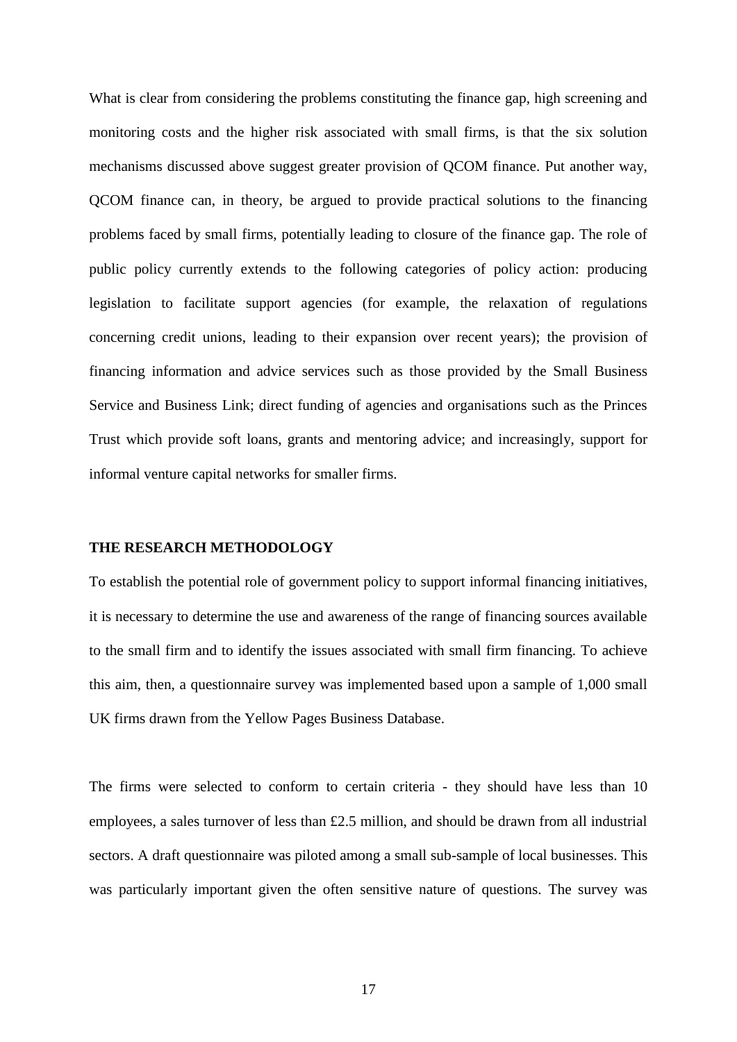What is clear from considering the problems constituting the finance gap, high screening and monitoring costs and the higher risk associated with small firms, is that the six solution mechanisms discussed above suggest greater provision of QCOM finance. Put another way, QCOM finance can, in theory, be argued to provide practical solutions to the financing problems faced by small firms, potentially leading to closure of the finance gap. The role of public policy currently extends to the following categories of policy action: producing legislation to facilitate support agencies (for example, the relaxation of regulations concerning credit unions, leading to their expansion over recent years); the provision of financing information and advice services such as those provided by the Small Business Service and Business Link; direct funding of agencies and organisations such as the Princes Trust which provide soft loans, grants and mentoring advice; and increasingly, support for informal venture capital networks for smaller firms.

# **THE RESEARCH METHODOLOGY**

To establish the potential role of government policy to support informal financing initiatives, it is necessary to determine the use and awareness of the range of financing sources available to the small firm and to identify the issues associated with small firm financing. To achieve this aim, then, a questionnaire survey was implemented based upon a sample of 1,000 small UK firms drawn from the Yellow Pages Business Database.

The firms were selected to conform to certain criteria - they should have less than 10 employees, a sales turnover of less than £2.5 million, and should be drawn from all industrial sectors. A draft questionnaire was piloted among a small sub-sample of local businesses. This was particularly important given the often sensitive nature of questions. The survey was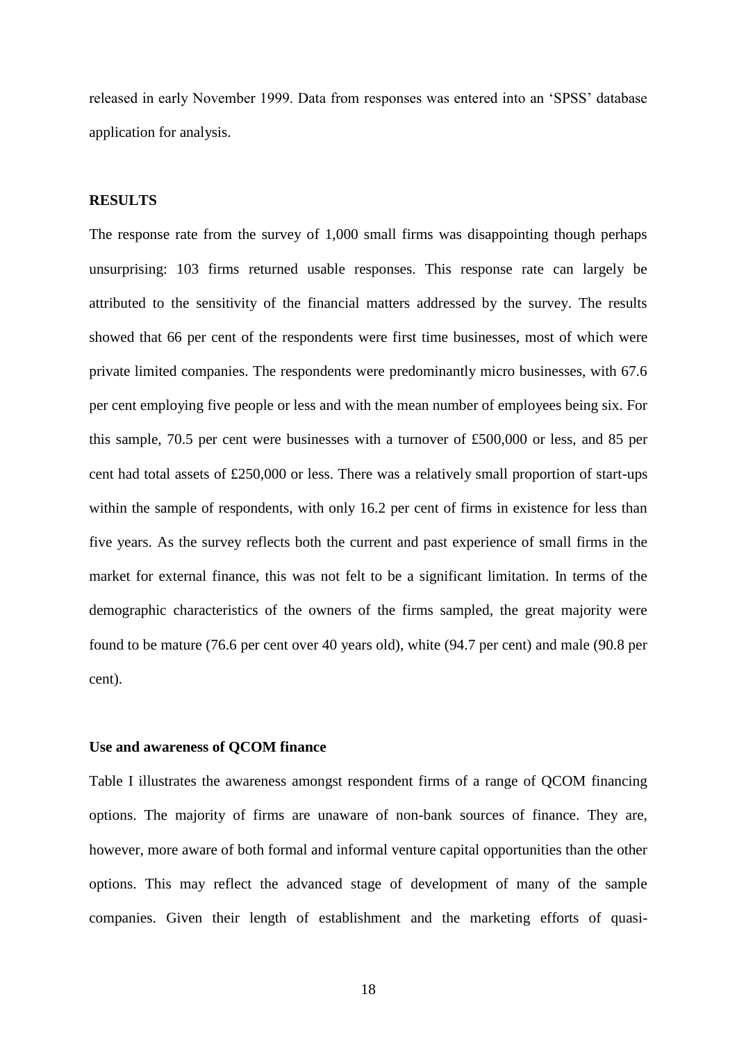released in early November 1999. Data from responses was entered into an 'SPSS' database application for analysis.

# **RESULTS**

The response rate from the survey of 1,000 small firms was disappointing though perhaps unsurprising: 103 firms returned usable responses. This response rate can largely be attributed to the sensitivity of the financial matters addressed by the survey. The results showed that 66 per cent of the respondents were first time businesses, most of which were private limited companies. The respondents were predominantly micro businesses, with 67.6 per cent employing five people or less and with the mean number of employees being six. For this sample, 70.5 per cent were businesses with a turnover of £500,000 or less, and 85 per cent had total assets of £250,000 or less. There was a relatively small proportion of start-ups within the sample of respondents, with only 16.2 per cent of firms in existence for less than five years. As the survey reflects both the current and past experience of small firms in the market for external finance, this was not felt to be a significant limitation. In terms of the demographic characteristics of the owners of the firms sampled, the great majority were found to be mature (76.6 per cent over 40 years old), white (94.7 per cent) and male (90.8 per cent).

# **Use and awareness of QCOM finance**

Table I illustrates the awareness amongst respondent firms of a range of QCOM financing options. The majority of firms are unaware of non-bank sources of finance. They are, however, more aware of both formal and informal venture capital opportunities than the other options. This may reflect the advanced stage of development of many of the sample companies. Given their length of establishment and the marketing efforts of quasi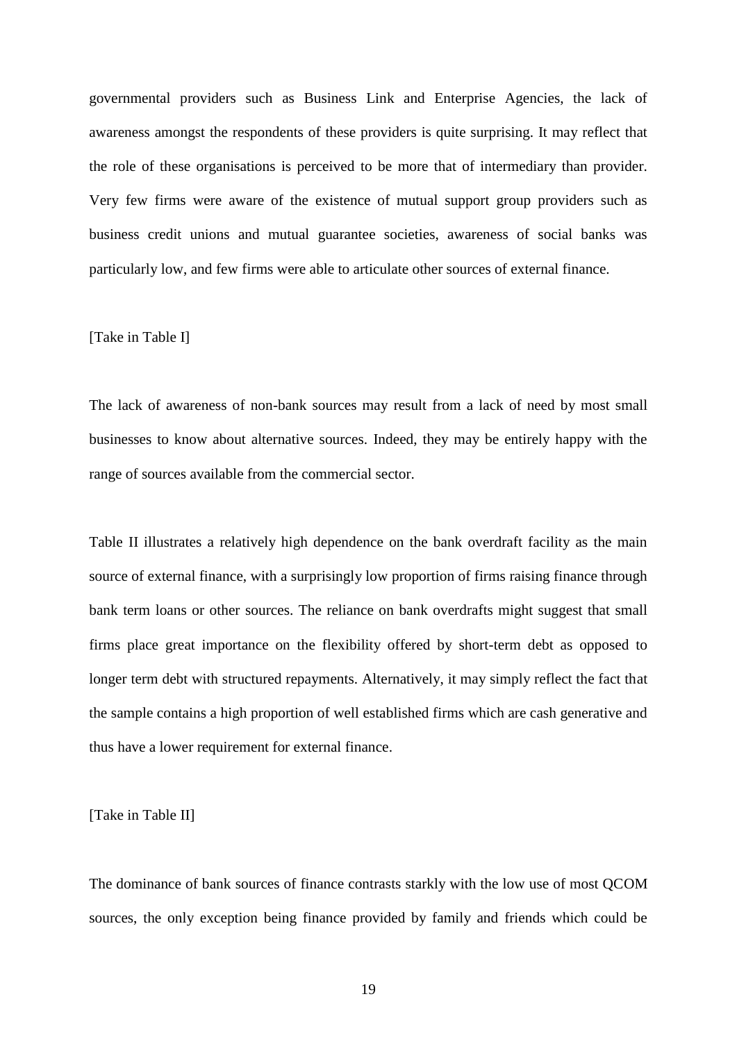governmental providers such as Business Link and Enterprise Agencies, the lack of awareness amongst the respondents of these providers is quite surprising. It may reflect that the role of these organisations is perceived to be more that of intermediary than provider. Very few firms were aware of the existence of mutual support group providers such as business credit unions and mutual guarantee societies, awareness of social banks was particularly low, and few firms were able to articulate other sources of external finance.

# [Take in Table I]

The lack of awareness of non-bank sources may result from a lack of need by most small businesses to know about alternative sources. Indeed, they may be entirely happy with the range of sources available from the commercial sector.

Table II illustrates a relatively high dependence on the bank overdraft facility as the main source of external finance, with a surprisingly low proportion of firms raising finance through bank term loans or other sources. The reliance on bank overdrafts might suggest that small firms place great importance on the flexibility offered by short-term debt as opposed to longer term debt with structured repayments. Alternatively, it may simply reflect the fact that the sample contains a high proportion of well established firms which are cash generative and thus have a lower requirement for external finance.

[Take in Table II]

The dominance of bank sources of finance contrasts starkly with the low use of most QCOM sources, the only exception being finance provided by family and friends which could be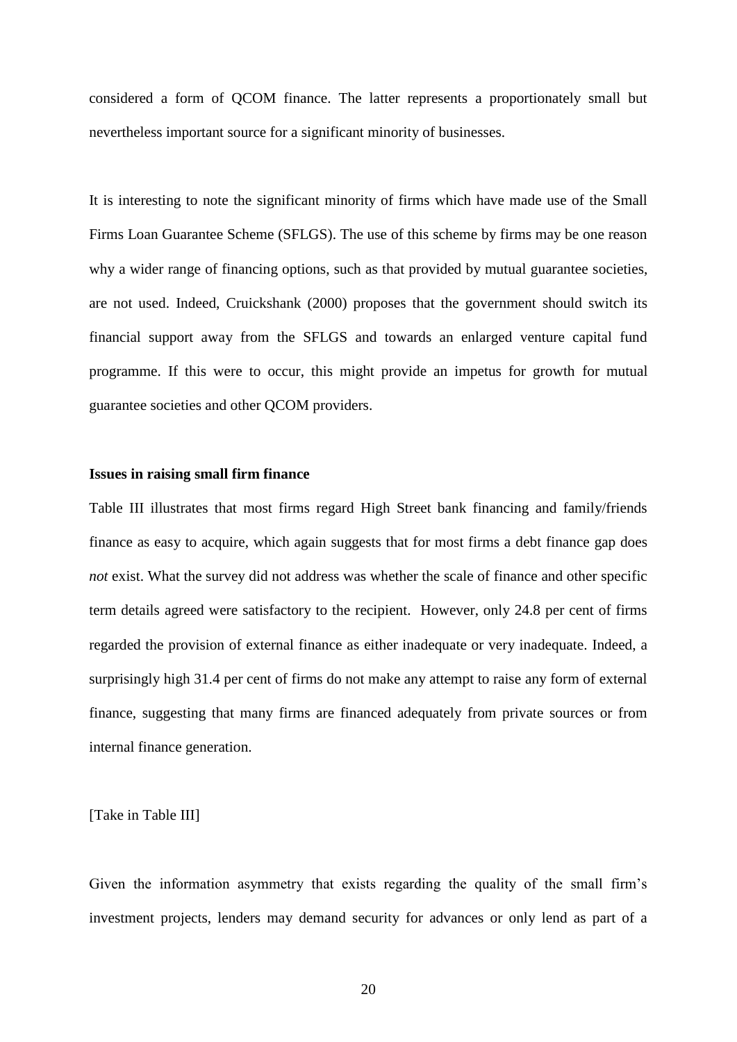considered a form of QCOM finance. The latter represents a proportionately small but nevertheless important source for a significant minority of businesses.

It is interesting to note the significant minority of firms which have made use of the Small Firms Loan Guarantee Scheme (SFLGS). The use of this scheme by firms may be one reason why a wider range of financing options, such as that provided by mutual guarantee societies, are not used. Indeed, Cruickshank (2000) proposes that the government should switch its financial support away from the SFLGS and towards an enlarged venture capital fund programme. If this were to occur, this might provide an impetus for growth for mutual guarantee societies and other QCOM providers.

# **Issues in raising small firm finance**

Table III illustrates that most firms regard High Street bank financing and family/friends finance as easy to acquire, which again suggests that for most firms a debt finance gap does *not* exist. What the survey did not address was whether the scale of finance and other specific term details agreed were satisfactory to the recipient. However, only 24.8 per cent of firms regarded the provision of external finance as either inadequate or very inadequate. Indeed, a surprisingly high 31.4 per cent of firms do not make any attempt to raise any form of external finance, suggesting that many firms are financed adequately from private sources or from internal finance generation.

[Take in Table III]

Given the information asymmetry that exists regarding the quality of the small firm's investment projects, lenders may demand security for advances or only lend as part of a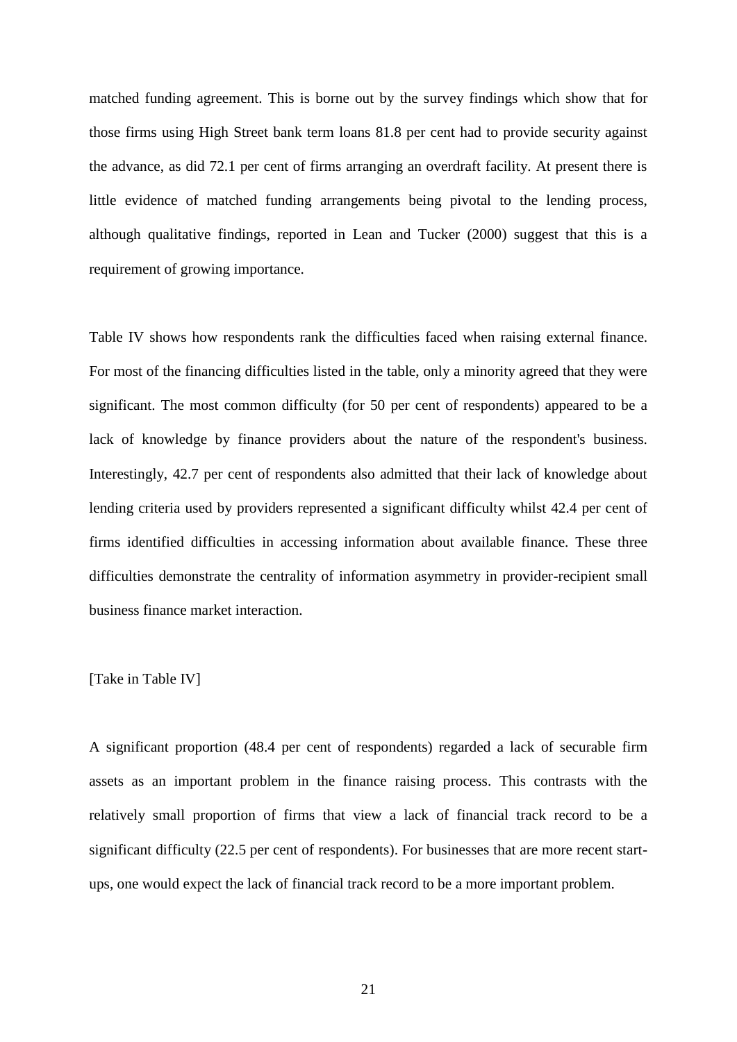matched funding agreement. This is borne out by the survey findings which show that for those firms using High Street bank term loans 81.8 per cent had to provide security against the advance, as did 72.1 per cent of firms arranging an overdraft facility. At present there is little evidence of matched funding arrangements being pivotal to the lending process, although qualitative findings, reported in Lean and Tucker (2000) suggest that this is a requirement of growing importance.

Table IV shows how respondents rank the difficulties faced when raising external finance. For most of the financing difficulties listed in the table, only a minority agreed that they were significant. The most common difficulty (for 50 per cent of respondents) appeared to be a lack of knowledge by finance providers about the nature of the respondent's business. Interestingly, 42.7 per cent of respondents also admitted that their lack of knowledge about lending criteria used by providers represented a significant difficulty whilst 42.4 per cent of firms identified difficulties in accessing information about available finance. These three difficulties demonstrate the centrality of information asymmetry in provider-recipient small business finance market interaction.

# [Take in Table IV]

A significant proportion (48.4 per cent of respondents) regarded a lack of securable firm assets as an important problem in the finance raising process. This contrasts with the relatively small proportion of firms that view a lack of financial track record to be a significant difficulty (22.5 per cent of respondents). For businesses that are more recent startups, one would expect the lack of financial track record to be a more important problem.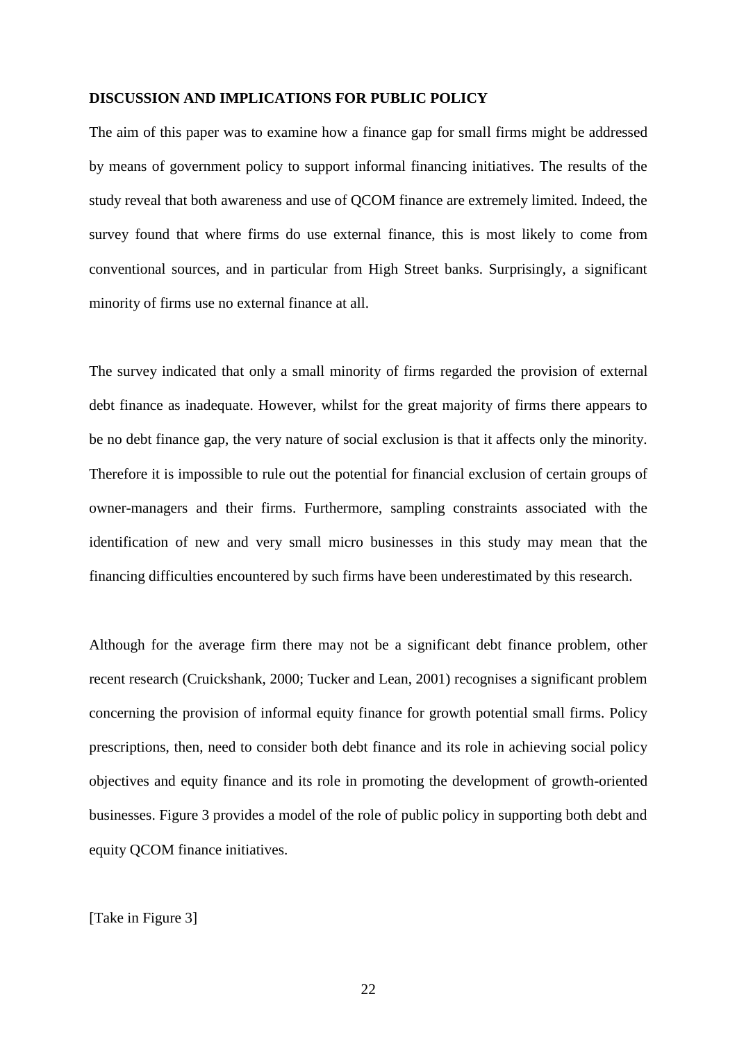#### **DISCUSSION AND IMPLICATIONS FOR PUBLIC POLICY**

The aim of this paper was to examine how a finance gap for small firms might be addressed by means of government policy to support informal financing initiatives. The results of the study reveal that both awareness and use of QCOM finance are extremely limited. Indeed, the survey found that where firms do use external finance, this is most likely to come from conventional sources, and in particular from High Street banks. Surprisingly, a significant minority of firms use no external finance at all.

The survey indicated that only a small minority of firms regarded the provision of external debt finance as inadequate. However, whilst for the great majority of firms there appears to be no debt finance gap, the very nature of social exclusion is that it affects only the minority. Therefore it is impossible to rule out the potential for financial exclusion of certain groups of owner-managers and their firms. Furthermore, sampling constraints associated with the identification of new and very small micro businesses in this study may mean that the financing difficulties encountered by such firms have been underestimated by this research.

Although for the average firm there may not be a significant debt finance problem, other recent research (Cruickshank, 2000; Tucker and Lean, 2001) recognises a significant problem concerning the provision of informal equity finance for growth potential small firms. Policy prescriptions, then, need to consider both debt finance and its role in achieving social policy objectives and equity finance and its role in promoting the development of growth-oriented businesses. Figure 3 provides a model of the role of public policy in supporting both debt and equity QCOM finance initiatives.

# [Take in Figure 3]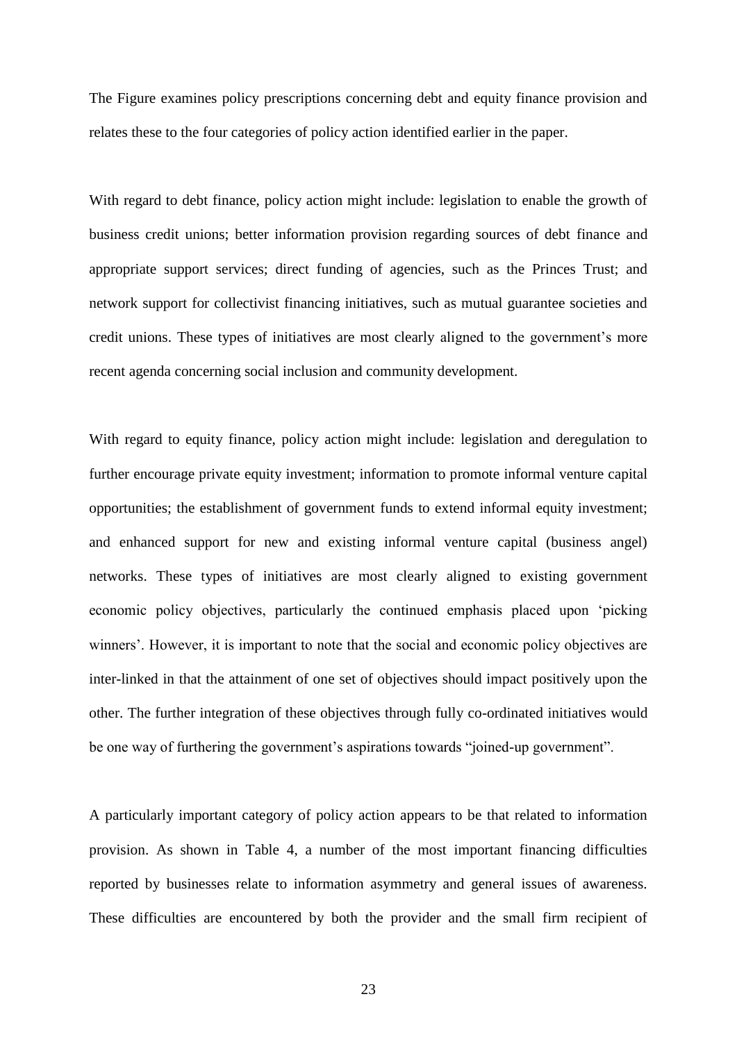The Figure examines policy prescriptions concerning debt and equity finance provision and relates these to the four categories of policy action identified earlier in the paper.

With regard to debt finance, policy action might include: legislation to enable the growth of business credit unions; better information provision regarding sources of debt finance and appropriate support services; direct funding of agencies, such as the Princes Trust; and network support for collectivist financing initiatives, such as mutual guarantee societies and credit unions. These types of initiatives are most clearly aligned to the government's more recent agenda concerning social inclusion and community development.

With regard to equity finance, policy action might include: legislation and deregulation to further encourage private equity investment; information to promote informal venture capital opportunities; the establishment of government funds to extend informal equity investment; and enhanced support for new and existing informal venture capital (business angel) networks. These types of initiatives are most clearly aligned to existing government economic policy objectives, particularly the continued emphasis placed upon 'picking winners'. However, it is important to note that the social and economic policy objectives are inter-linked in that the attainment of one set of objectives should impact positively upon the other. The further integration of these objectives through fully co-ordinated initiatives would be one way of furthering the government's aspirations towards "joined-up government".

A particularly important category of policy action appears to be that related to information provision. As shown in Table 4, a number of the most important financing difficulties reported by businesses relate to information asymmetry and general issues of awareness. These difficulties are encountered by both the provider and the small firm recipient of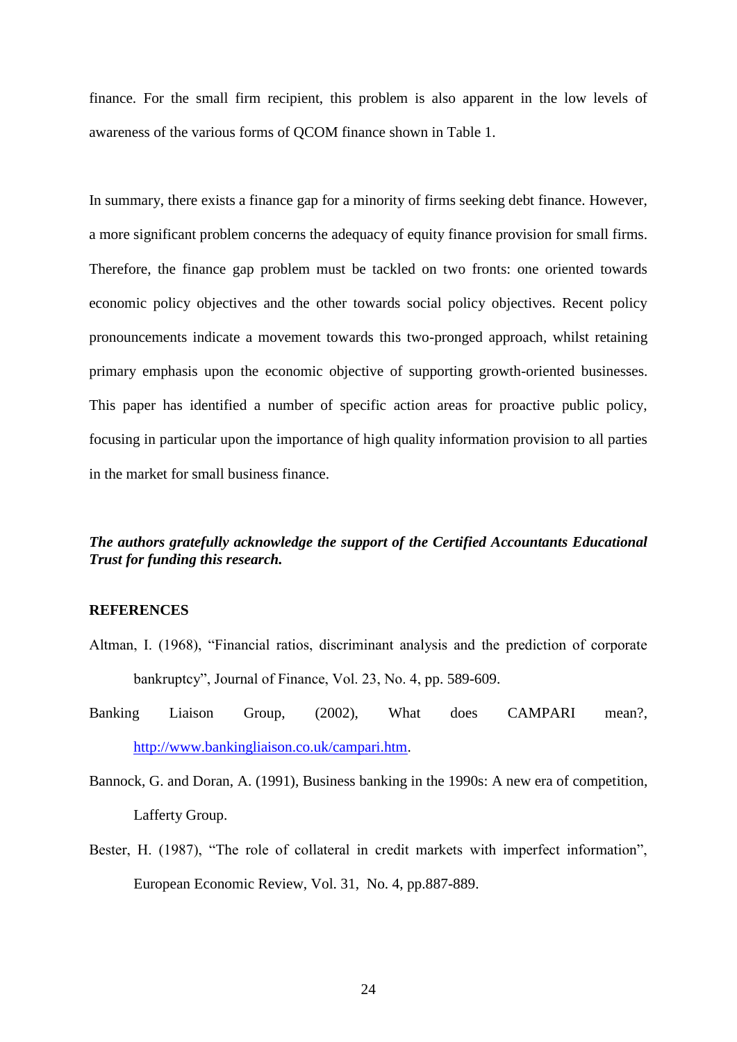finance. For the small firm recipient, this problem is also apparent in the low levels of awareness of the various forms of QCOM finance shown in Table 1.

In summary, there exists a finance gap for a minority of firms seeking debt finance. However, a more significant problem concerns the adequacy of equity finance provision for small firms. Therefore, the finance gap problem must be tackled on two fronts: one oriented towards economic policy objectives and the other towards social policy objectives. Recent policy pronouncements indicate a movement towards this two-pronged approach, whilst retaining primary emphasis upon the economic objective of supporting growth-oriented businesses. This paper has identified a number of specific action areas for proactive public policy, focusing in particular upon the importance of high quality information provision to all parties in the market for small business finance.

# *The authors gratefully acknowledge the support of the Certified Accountants Educational Trust for funding this research.*

## **REFERENCES**

- Altman, I. (1968), "Financial ratios, discriminant analysis and the prediction of corporate bankruptcy", Journal of Finance, Vol. 23, No. 4, pp. 589-609.
- Banking Liaison Group, (2002), What does CAMPARI mean?, [http://www.bankingliaison.co.uk/campari.htm.](http://www.bankingliaison.co.uk/campari.htm)
- Bannock, G. and Doran, A. (1991), Business banking in the 1990s: A new era of competition, Lafferty Group.
- Bester, H. (1987), "The role of collateral in credit markets with imperfect information", European Economic Review, Vol. 31, No. 4, pp.887-889.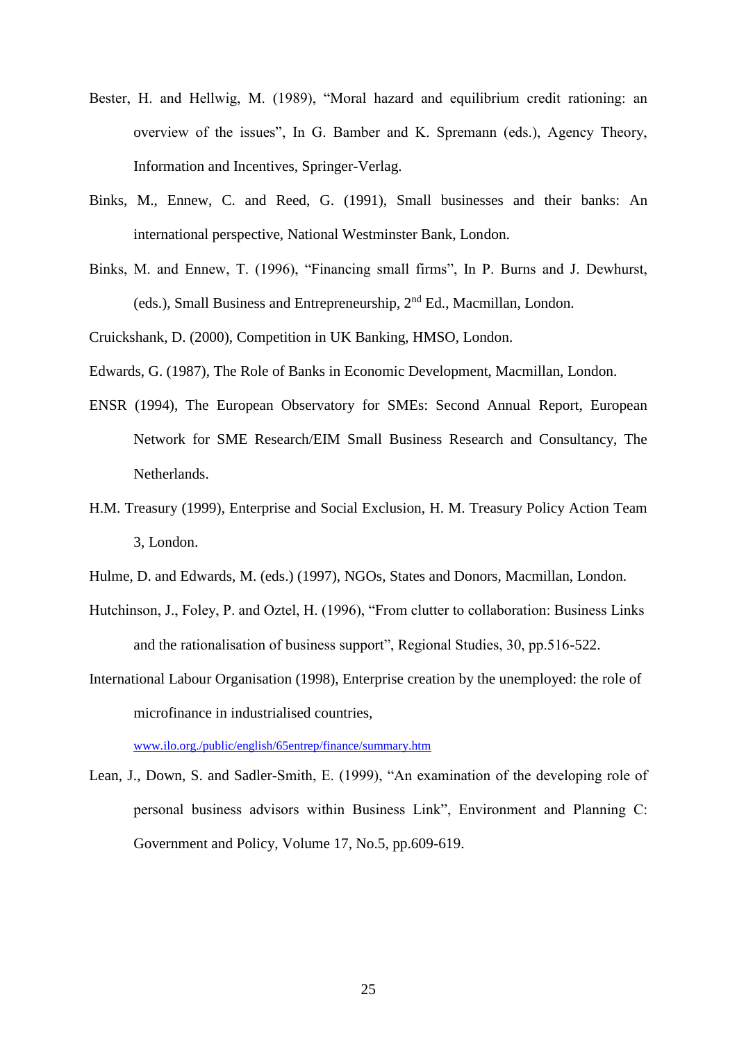- Bester, H. and Hellwig, M. (1989), "Moral hazard and equilibrium credit rationing: an overview of the issues", In G. Bamber and K. Spremann (eds.), Agency Theory, Information and Incentives, Springer-Verlag.
- Binks, M., Ennew, C. and Reed, G. (1991), Small businesses and their banks: An international perspective, National Westminster Bank, London.
- Binks, M. and Ennew, T. (1996), "Financing small firms", In P. Burns and J. Dewhurst, (eds.), Small Business and Entrepreneurship, 2nd Ed., Macmillan, London.
- Cruickshank, D. (2000), Competition in UK Banking, HMSO, London.
- Edwards, G. (1987), The Role of Banks in Economic Development, Macmillan, London.
- ENSR (1994), The European Observatory for SMEs: Second Annual Report, European Network for SME Research/EIM Small Business Research and Consultancy, The Netherlands.
- H.M. Treasury (1999), Enterprise and Social Exclusion, H. M. Treasury Policy Action Team 3, London.
- Hulme, D. and Edwards, M. (eds.) (1997), NGOs, States and Donors, Macmillan, London.
- Hutchinson, J., Foley, P. and Oztel, H. (1996), "From clutter to collaboration: Business Links and the rationalisation of business support", Regional Studies, 30, pp.516-522.
- International Labour Organisation (1998), Enterprise creation by the unemployed: the role of microfinance in industrialised countries,

[www.ilo.org./public/english/65entrep/finance/summary.htm](http://www.ilo.org./public/english/65entrep/finance/summary.htm)

Lean, J., Down, S. and Sadler-Smith, E. (1999), "An examination of the developing role of personal business advisors within Business Link", Environment and Planning C: Government and Policy, Volume 17, No.5, pp.609-619.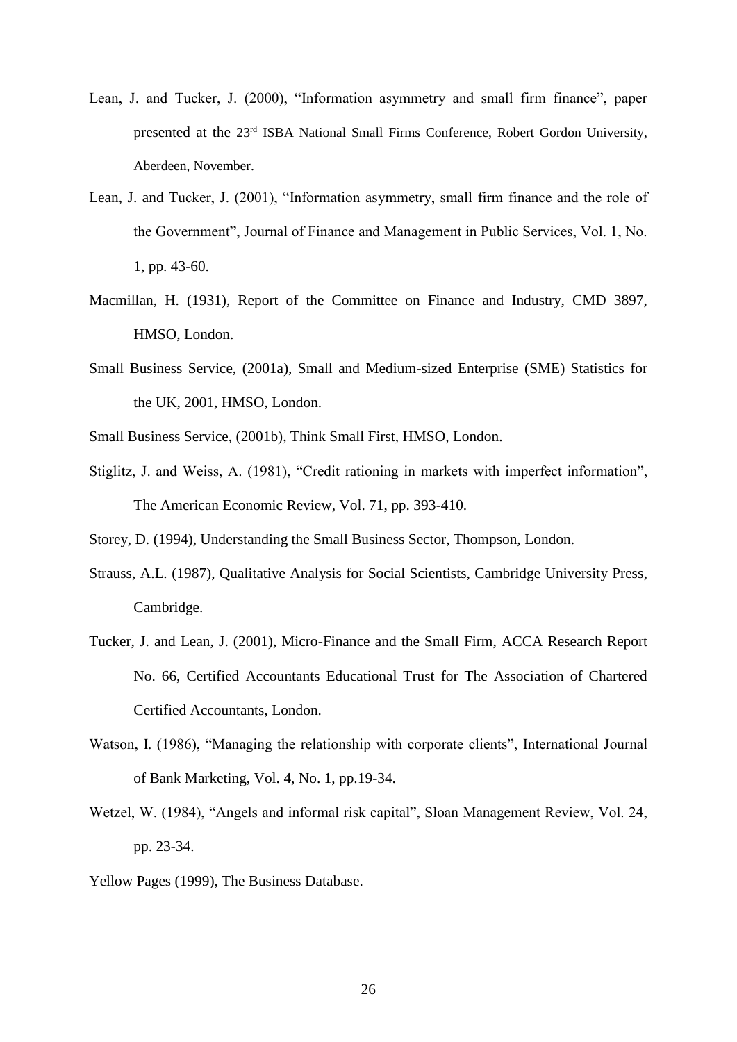- Lean, J. and Tucker, J. (2000), "Information asymmetry and small firm finance", paper presented at the 23rd ISBA National Small Firms Conference, Robert Gordon University, Aberdeen, November.
- Lean, J. and Tucker, J. (2001), "Information asymmetry, small firm finance and the role of the Government", Journal of Finance and Management in Public Services, Vol. 1, No. 1, pp. 43-60.
- Macmillan, H. (1931), Report of the Committee on Finance and Industry, CMD 3897, HMSO, London.
- Small Business Service, (2001a), Small and Medium-sized Enterprise (SME) Statistics for the UK, 2001, HMSO, London.
- Small Business Service, (2001b), Think Small First, HMSO, London.
- Stiglitz, J. and Weiss, A. (1981), "Credit rationing in markets with imperfect information", The American Economic Review, Vol. 71, pp. 393-410.
- Storey, D. (1994), Understanding the Small Business Sector, Thompson, London.
- Strauss, A.L. (1987), Qualitative Analysis for Social Scientists, Cambridge University Press, Cambridge.
- Tucker, J. and Lean, J. (2001), Micro-Finance and the Small Firm, ACCA Research Report No. 66, Certified Accountants Educational Trust for The Association of Chartered Certified Accountants, London.
- Watson, I. (1986), "Managing the relationship with corporate clients", International Journal of Bank Marketing, Vol. 4, No. 1, pp.19-34.
- Wetzel, W. (1984), "Angels and informal risk capital", Sloan Management Review, Vol. 24, pp. 23-34.
- Yellow Pages (1999), The Business Database.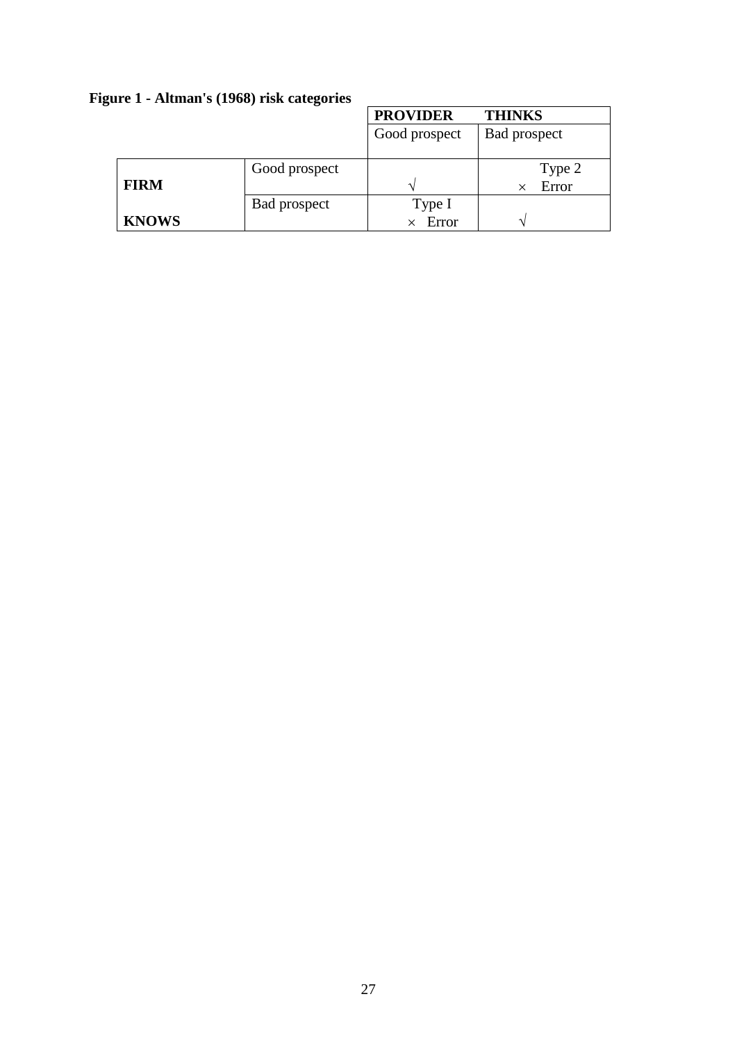|              |               | <b>PROVIDER</b> | <b>THINKS</b>   |  |
|--------------|---------------|-----------------|-----------------|--|
|              |               | Good prospect   | Bad prospect    |  |
|              |               |                 |                 |  |
|              | Good prospect |                 | Type 2<br>Error |  |
| <b>FIRM</b>  |               | $\mathcal{N}$   |                 |  |
|              | Bad prospect  |                 |                 |  |
| <b>KNOWS</b> |               | Type I<br>Error |                 |  |

# **Figure 1 - Altman's (1968) risk categories**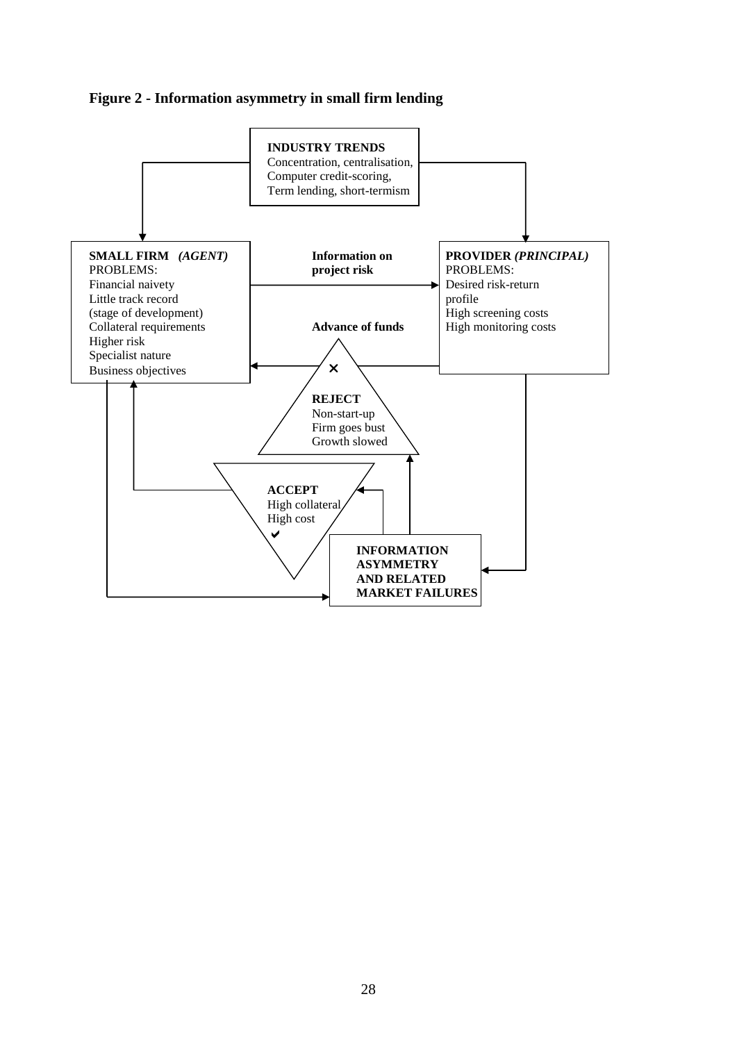

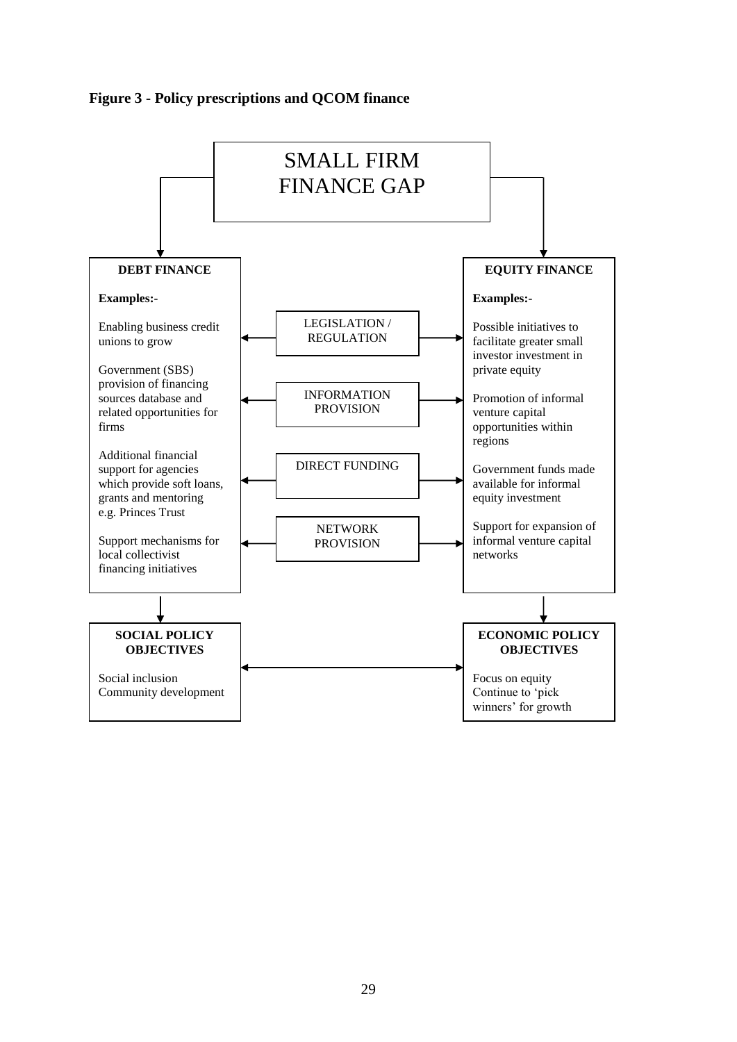

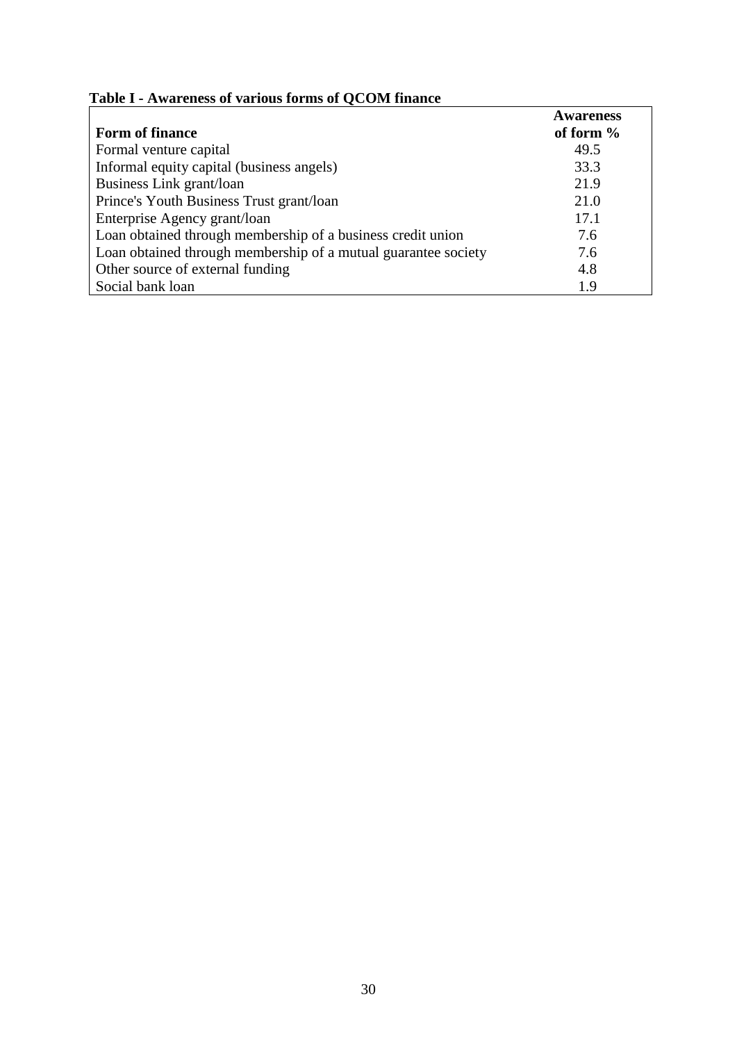# **Table I - Awareness of various forms of QCOM finance**

|                                                                | <b>Awareness</b> |
|----------------------------------------------------------------|------------------|
| <b>Form of finance</b>                                         | of form $%$      |
| Formal venture capital                                         | 49.5             |
| Informal equity capital (business angels)                      | 33.3             |
| Business Link grant/loan                                       | 21.9             |
| Prince's Youth Business Trust grant/loan                       | 21.0             |
| Enterprise Agency grant/loan                                   | 17.1             |
| Loan obtained through membership of a business credit union    | 7.6              |
| Loan obtained through membership of a mutual guarantee society | 7.6              |
| Other source of external funding                               | 4.8              |
| Social bank loan                                               | 1.9              |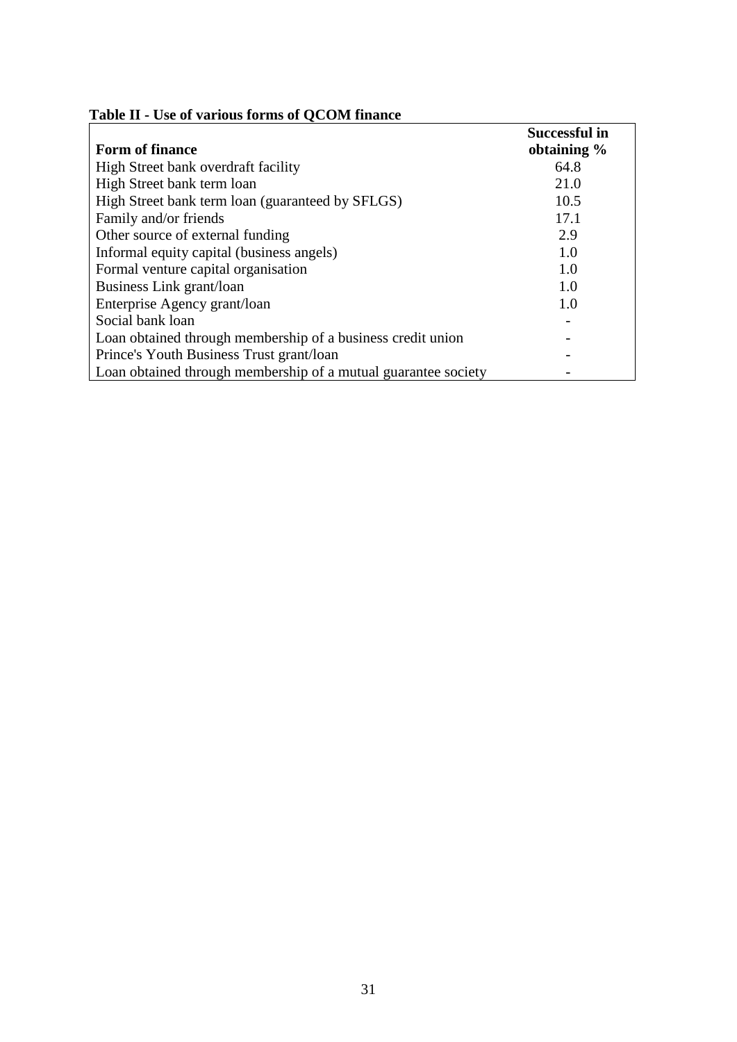|  |  | Table II - Use of various forms of QCOM finance |  |  |
|--|--|-------------------------------------------------|--|--|
|  |  |                                                 |  |  |

|                                                                | <b>Successful in</b> |
|----------------------------------------------------------------|----------------------|
| <b>Form of finance</b>                                         | obtaining $\%$       |
| High Street bank overdraft facility                            | 64.8                 |
| High Street bank term loan                                     | 21.0                 |
| High Street bank term loan (guaranteed by SFLGS)               | 10.5                 |
| Family and/or friends                                          | 17.1                 |
| Other source of external funding                               | 2.9                  |
| Informal equity capital (business angels)                      | 1.0                  |
| Formal venture capital organisation                            | 1.0                  |
| Business Link grant/loan                                       | 1.0                  |
| Enterprise Agency grant/loan                                   | 1.0                  |
| Social bank loan                                               |                      |
| Loan obtained through membership of a business credit union    |                      |
| Prince's Youth Business Trust grant/loan                       |                      |
| Loan obtained through membership of a mutual guarantee society |                      |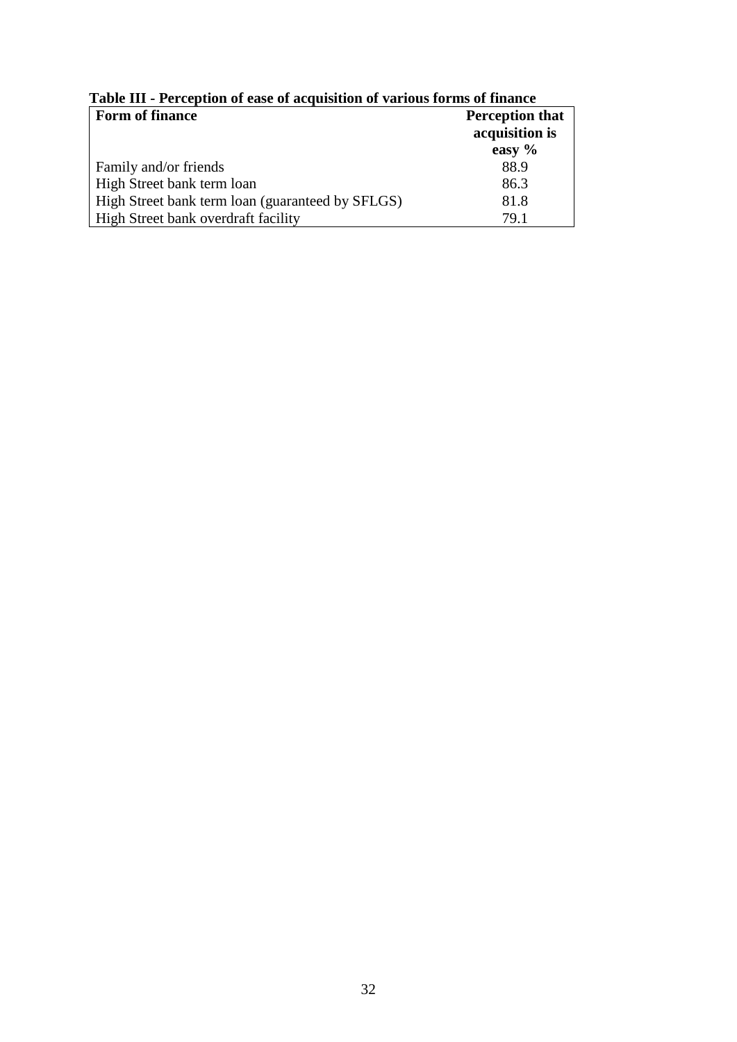| Table III - I creeption of ease of acquisition or various forms of miance |                        |  |  |  |
|---------------------------------------------------------------------------|------------------------|--|--|--|
| <b>Form of finance</b>                                                    | <b>Perception that</b> |  |  |  |
|                                                                           | acquisition is         |  |  |  |
|                                                                           | easy $\%$              |  |  |  |
| <b>Family and/or friends</b>                                              | 88.9                   |  |  |  |
| <b>High Street bank term loan</b>                                         | 86.3                   |  |  |  |
| High Street bank term loan (guaranteed by SFLGS)                          | 81.8                   |  |  |  |
| High Street bank overdraft facility                                       | 79.1                   |  |  |  |

# **Table III - Perception of ease of acquisition of various forms of finance**